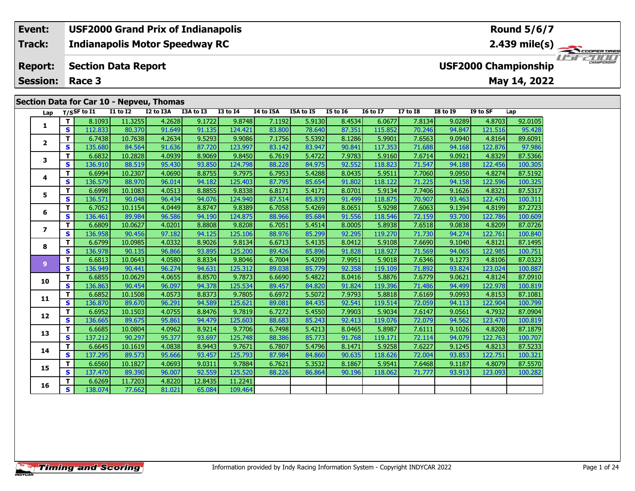### **Section Data for Car 10 - Nepveu, Thomas**

| Lap                      |                              | T/SSF to I1       | <b>I1 to I2</b>   | I2 to I3A        | I3A to I3        | <b>I3 to I4</b>   | I4 to I5A        | I5A to I5        | <b>I5 to 16</b>  | <b>16 to 17</b>   | <b>I7 to I8</b>  | <b>I8 to 19</b>  | I9 to SF          | Lap                |
|--------------------------|------------------------------|-------------------|-------------------|------------------|------------------|-------------------|------------------|------------------|------------------|-------------------|------------------|------------------|-------------------|--------------------|
|                          | $\mathbf{T}$                 | 8.1093            | 11.3255           | 4.2628           | 9.1722           | 9.8748            | 7.1192           | 5.9130           | 8.4534           | 6.0677            | 7.8134           | 9.0289           | 4.8703            | 92.0105            |
| 1                        | $\mathbf{s}$                 | 112.833           | 80.370            | 91.649           | 91.135           | 124.421           | 83.800           | 78.640           | 87.351           | 115.852           | 70.246           | 94.847           | 121.516           | 95.428             |
| $\mathbf{2}$             | T                            | 6.7438            | 10.7638           | 4.2634           | 9.5293           | 9.9086            | 7.1756           | 5.5392           | 8.1286           | 5.9901            | 7.6563           | 9.0940           | 4.8164            | 89.6091            |
|                          | S                            | 135.680           | 84.564            | 91.636           | 87.720           | 123.997           | 83.142           | 83.947           | 90.841           | 117.353           | 71.688           | 94.168           | 122.876           | 97.986             |
| 3                        | T                            | 6.6832            | 10.2828           | 4.0939           | 8.9069           | 9.8450            | 6.7619           | 5.4722           | 7.9783           | 5.9160            | 7.6714           | 9.0921           | 4.8329            | 87.5366            |
|                          | $\mathbf{s}$                 | 136.910           | 88.519            | 95.430           | 93.850           | 124.798           | 88.228           | 84.975           | 92.552           | 118.823           | 71.547           | 94.188           | 122.456           | 100.305            |
| 4                        | T                            | 6.6994            | 10.2307           | 4.0690           | 8.8755           | 9.7975            | 6.7953           | 5.4288           | 8.0435           | 5.9511            | 7.7060           | 9.0950           | 4.8274            | 87.5192            |
|                          | S                            | 136.579           | 88.970            | 96.014           | 94.182           | 125.403           | 87.795           | 85.654           | 91.802           | 118.122           | 71.225           | 94.158           | 122.596           | 100.325            |
| 5                        | T.                           | 6.6998            | 10.1083           | 4.0513           | 8.8855           | 9.8338            | 6.8171           | 5.4171           | 8.0701           | 5.9134            | 7.7406           | 9.1626           | 4.8321            | 87.5317            |
|                          | S                            | 136.571           | 90.048            | 96.434           | 94.076           | 124.940           | 87.514           | 85.839           | 91.499           | 118.875           | 70.907           | 93.463           | 122.476           | 100.311            |
| 6                        | т                            | 6.7052            | 10.1154           | 4.0449           | 8.8747           | 9.8389            | 6.7058           | 5.4269           | 8.0651           | 5.9298            | 7.6063           | 9.1394           | 4.8199            | 87.2723            |
|                          | $\mathbf{s}$                 | 136.461           | 89.984            | 96.586           | 94.190           | 124.875           | 88.966           | 85.684           | 91.556           | 118.546           | 72.159           | 93.700           | 122.786           | 100.609            |
| $\overline{\phantom{a}}$ | T                            | 6.6809            | 10.0627           | 4.0201           | 8.8808           | 9.8208            | 6.7051           | 5.4514           | 8.0005           | 5.8938            | 7.6518           | 9.0838           | 4.8209            | 87.0726            |
|                          | S                            | 136.958           | 90.456            | 97.182           | 94.125           | 125.106           | 88.976           | 85.299           | 92.295           | 119.270           | 71.730           | 94.274           | 122.761           | 100.840            |
| 8                        | T.                           | 6.6799            | 10.0985           | 4.0332           | 8.9026           | 9.8134            | 6.6713           | 5.4135           | 8.0412           | 5.9108            | 7.6690           | 9.1040           | 4.8121            | 87.1495            |
|                          | $\mathbf{s}$                 | 136.978           | 90.135            | 96.866           | 93.895           | 125.200           | 89.426           | 85.896           | 91.828           | 118.927           | 71.569           | 94.065           | 122.985           | 100.751            |
| $\mathbf{9}$             | T                            | 6.6813            | 10.0643           | 4.0580           | 8.8334           | 9.8046            | 6.7004           | 5.4209           | 7.9951           | 5.9018            | 7.6346           | 9.1273           | 4.8106            | 87.0323            |
|                          | S                            | 136.949           | 90.441            | 96.274           | 94.631           | 125.312           | 89.038           | 85.779           | 92.358           | 119.109           | 71.892           | 93.824           | 123.024           | 100.887            |
| 10                       | T.                           | 6.6855            | 10.0629           | 4.0655           | 8.8570           | 9.7873            | 6.6690           | 5.4822           | 8.0416           | 5.8876            | 7.6779           | 9.0621           | 4.8124            | 87.0910            |
|                          | $\mathbf{s}$                 | 136.863           | 90.454            | 96.097           | 94.378           | 125.534           | 89.457           | 84.820           | 91.824           | 119.396           | 71.486           | 94.499           | 122.978           | 100.819            |
| 11                       | T                            | 6.6852            | 10.1508           | 4.0573           | 8.8373           | 9.7805            | 6.6972           | 5.5072           | 7.9793           | 5.8818            | 7.6169           | 9.0993           | 4.8153            | 87.1081            |
|                          | $\mathbf{s}$                 | 136.870           | 89.670            | 96.291           | 94.589           | 125.621           | 89.081           | 84.435           | 92.541           | 119.514           | 72.059           | 94.113           | 122.904           | 100.799            |
| 12                       | T<br>$\overline{\mathbf{s}}$ | 6.6952            | 10.1503           | 4.0755           | 8.8476           | 9.7819            | 6.7272           | 5.4550           | 7.9903           | 5.9034            | 7.6147           | 9.0561           | 4.7932            | 87.0904            |
|                          | T                            | 136.665           | 89.675            | 95.861           | 94.479           | 125,603           | 88.683           | 85.243           | 92.413           | 119.076           | 72.079           | 94.562           | 123.470           | 100.819            |
| 13                       | $\mathbf{s}$                 | 6.6685            | 10.0804           | 4.0962           | 8.9214           | 9.7706            | 6.7498           | 5.4213           | 8.0465           | 5.8987            | 7.6111           | 9.1026           | 4.8208            | 87.1879            |
|                          | T.                           | 137.212<br>6.6645 | 90.297<br>10.1619 | 95.377<br>4.0838 | 93.697<br>8.9443 | 125.748<br>9.7671 | 88.386<br>6.7807 | 85.773<br>5.4796 | 91.768<br>8.1471 | 119.171<br>5.9258 | 72.114<br>7.6227 | 94.079<br>9.1245 | 122.763<br>4.8213 | 100.707<br>87.5233 |
| 14                       | $\mathbf{s}$                 | 137.295           | 89.573            | 95.666           | 93.457           | 125.793           | 87.984           | 84.860           | 90.635           | 118.626           | 72.004           | 93.853           | 122.751           | 100.321            |
|                          | T                            | 6.6560            | 10.1827           | 4.0693           | 9.0311           | 9.7884            | 6.7621           | 5.3532           | 8.1867           | 5.9541            | 7.6468           | 9.1187           | 4.8079            | 87.5570            |
| 15                       | S                            | 137.470           | 89.390            | 96.007           | 92.559           | 125.520           | 88.226           | 86.864           | 90.196           | 118.062           | 71.777           | 93.913           | 123.093           | 100.282            |
|                          | T                            | 6.6269            | 11.7203           | 4.8220           | 12.8435          | 11.2241           |                  |                  |                  |                   |                  |                  |                   |                    |
| 16                       | $\mathbf{s}$                 | 138.074           | 77.662            | 81.021           | 65.084           | 109.464           |                  |                  |                  |                   |                  |                  |                   |                    |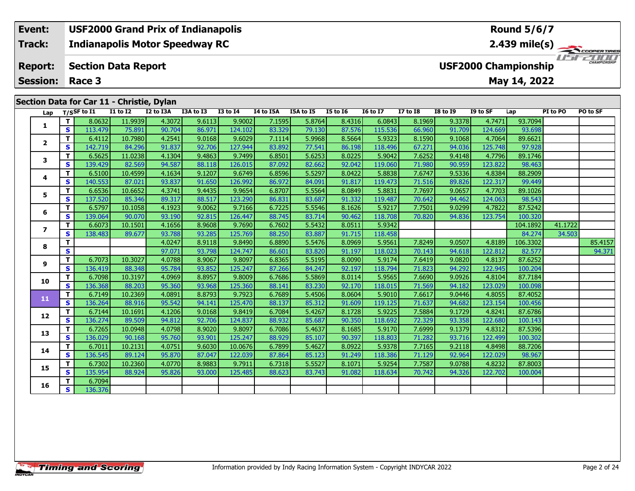#### **Event: USF2000 Grand Prix of Indianapolis Round 5/6/72.439 mile(s) Indianapolis Motor Speedway RC Track:** *IFFERINI* **Report: Section Data Report USF2000 Championship May 14, 2022 Session: Race 3 Section Data for Car 11 - Christie, Dylan Lap T/SSF to I1 I1 to I2 I2 to I3A I3A to I3 I3 to I4 I4 to I5A I5A to I5 I5 to I6 I6 to I7 I7 to I8 I8 to I9 I9 to SF Lap PI to PO PO to SF**

| 1                        | Т            | 8.0632  | 11.9939 | 4.3072 | 9.6113 | 9.9002  | 7.1595 | 5.8764 | 8.4316 | 6.0843  | 8.1969 | 9.3378 | 4.7471  | 93.7094  |         |         |
|--------------------------|--------------|---------|---------|--------|--------|---------|--------|--------|--------|---------|--------|--------|---------|----------|---------|---------|
|                          | S            | 113.479 | 75.891  | 90.704 | 86.971 | 124.102 | 83.329 | 79.130 | 87.576 | 115.536 | 66.960 | 91.709 | 124.669 | 93.698   |         |         |
| $\mathbf{2}$             | Т            | 6.4112  | 10.7980 | 4.2541 | 9.0168 | 9.6029  | 7.1114 | 5.9968 | 8.5664 | 5.9323  | 8.1590 | 9.1068 | 4.7064  | 89.6621  |         |         |
|                          | S            | 142.719 | 84.296  | 91.837 | 92.706 | 127.944 | 83.892 | 77.541 | 86.198 | 118.496 | 67.271 | 94.036 | 125.748 | 97.928   |         |         |
| 3                        | Т            | 6.5625  | 11.0238 | 4.1304 | 9.4863 | 9.7499  | 6.8501 | 5.6253 | 8.0225 | 5.9042  | 7.6252 | 9.4148 | 4.7796  | 89.1746  |         |         |
|                          | S            | 139.429 | 82.569  | 94.587 | 88.118 | 126.015 | 87.092 | 82.662 | 92.042 | 119.060 | 71.980 | 90.959 | 123.822 | 98.463   |         |         |
| 4                        | T            | 6.5100  | 10.4599 | 4.1634 | 9.1207 | 9.6749  | 6.8596 | 5.5297 | 8.0422 | 5.8838  | 7.6747 | 9.5336 | 4.8384  | 88.2909  |         |         |
|                          | S            | 140.553 | 87.021  | 93.837 | 91.650 | 126.992 | 86.972 | 84.091 | 91.817 | 119.473 | 71.516 | 89.826 | 122.317 | 99.449   |         |         |
| 5                        | Т            | 6.6536  | 10.6652 | 4.3741 | 9.4435 | 9.9654  | 6.8707 | 5.5564 | 8.0849 | 5.8831  | 7.7697 | 9.0657 | 4.7703  | 89.1026  |         |         |
|                          | S            | 137.520 | 85.346  | 89.317 | 88.517 | 123.290 | 86.831 | 83.687 | 91.332 | 119.487 | 70.642 | 94.462 | 124.063 | 98.543   |         |         |
| 6                        | т            | 6.5797  | 10.1058 | 4.1923 | 9.0062 | 9.7166  | 6.7225 | 5.5546 | 8.1626 | 5.9217  | 7.7501 | 9.0299 | 4.7822  | 87.5242  |         |         |
|                          | S            | 139.064 | 90.070  | 93.190 | 92.815 | 126.447 | 88.745 | 83.714 | 90.462 | 118.708 | 70.820 | 94.836 | 123.754 | 100.320  |         |         |
| $\overline{\phantom{a}}$ | Т            | 6.6073  | 10.1501 | 4.1656 | 8.9608 | 9.7690  | 6.7602 | 5.5432 | 8.0511 | 5.9342  |        |        |         | 104.1892 | 41.1722 |         |
|                          | S            | 138.483 | 89.677  | 93.788 | 93.285 | 125.769 | 88.250 | 83.887 | 91.715 | 118.458 |        |        |         | 84.274   | 34.503  |         |
| 8                        | Т            |         |         | 4.0247 | 8.9118 | 9.8490  | 6.8890 | 5.5476 | 8.0969 | 5.9561  | 7.8249 | 9.0507 | 4.8189  | 106.3302 |         | 85.4157 |
|                          | S            |         |         | 97.071 | 93.798 | 124.747 | 86.601 | 83.820 | 91.197 | 118.023 | 70.143 | 94.618 | 122.812 | 82.577   |         | 94.371  |
| 9                        | T            | 6.7073  | 10.3027 | 4.0788 | 8.9067 | 9.8097  | 6.8365 | 5.5195 | 8.0090 | 5.9174  | 7.6419 | 9.0820 | 4.8137  | 87.6252  |         |         |
|                          | S            | 136.419 | 88.348  | 95.784 | 93.852 | 125.247 | 87.266 | 84.247 | 92.197 | 118.794 | 71.823 | 94.292 | 122.945 | 100.204  |         |         |
| 10                       | Т            | 6.7098  | 10.3197 | 4.0969 | 8.8957 | 9.8009  | 6.7686 | 5.5869 | 8.0114 | 5.9565  | 7.6690 | 9.0926 | 4.8104  | 87.7184  |         |         |
|                          | S            | 136.368 | 88.203  | 95.360 | 93.968 | 125.360 | 88.141 | 83.230 | 92.170 | 118.015 | 71.569 | 94.182 | 123.029 | 100.098  |         |         |
| 11                       | $\mathbf{T}$ | 6.7149  | 10.2369 | 4.0891 | 8.8793 | 9.7923  | 6.7689 | 5.4506 | 8.0604 | 5.9010  | 7.6617 | 9.0446 | 4.8055  | 87.4052  |         |         |
|                          | <b>S</b>     | 136.264 | 88.916  | 95.542 | 94.141 | 125.470 | 88.137 | 85.312 | 91.609 | 119.125 | 71.637 | 94.682 | 123.154 | 100.456  |         |         |
| 12                       | Т            | 6.7144  | 10.1691 | 4.1206 | 9.0168 | 9.8419  | 6.7084 | 5.4267 | 8.1728 | 5.9225  | 7.5884 | 9.1729 | 4.8241  | 87.6786  |         |         |
|                          | S            | 136.274 | 89.509  | 94.812 | 92.706 | 124.837 | 88.932 | 85.687 | 90.350 | 118.692 | 72.329 | 93.358 | 122.680 | 100.143  |         |         |
| 13                       | т            | 6.7265  | 10.0948 | 4.0798 | 8.9020 | 9.8097  | 6.7086 | 5.4637 | 8.1685 | 5.9170  | 7.6999 | 9.1379 | 4.8312  | 87.5396  |         |         |
|                          | S            | 136.029 | 90.168  | 95.760 | 93.901 | 125.247 | 88.929 | 85.107 | 90.397 | 118.803 | 71.282 | 93.716 | 122.499 | 100.302  |         |         |
| 14                       | Т            | 6.7011  | 10.2131 | 4.0751 | 9.6030 | 10.0676 | 6.7899 | 5.4627 | 8.0922 | 5.9378  | 7.7165 | 9.2118 | 4.8498  | 88.7206  |         |         |
|                          | <b>S</b>     | 136.545 | 89.124  | 95.870 | 87.047 | 122.039 | 87.864 | 85.123 | 91.249 | 118.386 | 71.129 | 92.964 | 122.029 | 98.967   |         |         |
| 15                       | T            | 6.7302  | 10.2360 | 4.0770 | 8.9883 | 9.7911  | 6.7318 | 5.5527 | 8.1071 | 5.9254  | 7.7587 | 9.0788 | 4.8232  | 87.8003  |         |         |
|                          | S            | 135.954 | 88.924  | 95.826 | 93.000 | 125.485 | 88.623 | 83.743 | 91.082 | 118.634 | 70.742 | 94.326 | 122.702 | 100.004  |         |         |
| 16                       | т            | 6.7094  |         |        |        |         |        |        |        |         |        |        |         |          |         |         |
|                          | S            | 136.376 |         |        |        |         |        |        |        |         |        |        |         |          |         |         |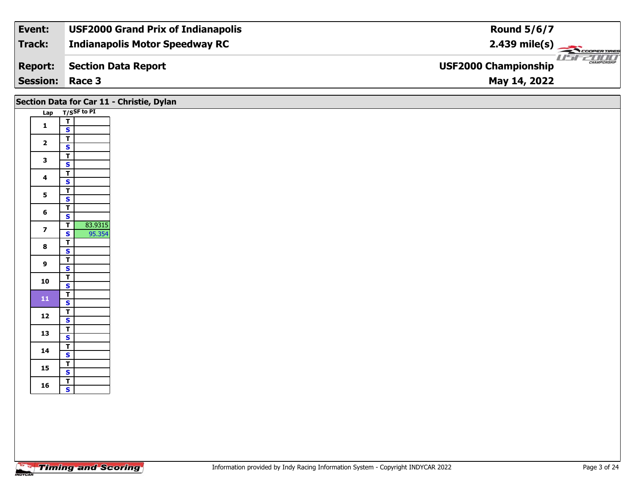| Event:                 | <b>USF2000 Grand Prix of Indianapolis</b> | <b>Round 5/6/7</b>                                 |
|------------------------|-------------------------------------------|----------------------------------------------------|
| Track:                 | <b>Indianapolis Motor Speedway RC</b>     | $2.439 \text{ mile(s)}$                            |
| <b>Report:</b>         | Section Data Report                       | <b>CHAMPIONSHIP</b><br><b>USF2000 Championship</b> |
| <b>Session: Race 3</b> |                                           | May 14, 2022                                       |

### **Section Data for Car 11 - Christie, Dylan**

| <u>Lap</u> |                             | $T/S$ SF to PI |
|------------|-----------------------------|----------------|
|            | T                           |                |
| 1          | S                           |                |
|            | T                           |                |
| 2          |                             |                |
|            | STSTSTST<br>STSTST          |                |
| 3          |                             |                |
| 4          |                             |                |
|            |                             |                |
| 5          |                             |                |
|            |                             |                |
| 6          |                             |                |
|            | $S = T$                     |                |
| 7          |                             | 83.9315        |
|            |                             | 95.354         |
| 8          | $\frac{1}{T}$ $\frac{S}{T}$ |                |
|            |                             |                |
| 9          |                             |                |
|            | S                           |                |
| 10         | $\bar{\mathbf{r}}$          |                |
|            | $rac{S}{T}$                 |                |
| 11         |                             |                |
|            |                             |                |
| 12         | T                           |                |
|            |                             |                |
| 13         | $rac{S}{T}$                 |                |
|            |                             |                |
| 14         | T                           |                |
|            |                             |                |
| 15         | $S = T$                     |                |
|            |                             |                |
| 16         | T                           |                |
|            | S                           |                |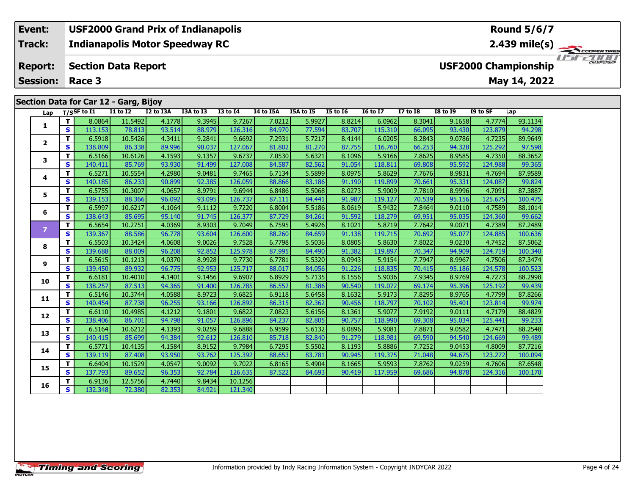### **Event: USF2000 Grand Prix of Indianapolis Round 5/6/7Indianapolis Motor Speedway RC 2.439 mile(s) Track:** TELECOPERTIRES **Report: Section Data Report USF2000 Championship May 14, 2022 Session: Race 3 Section Data for Car 12 - Garg, Bijoy Lap T/SSF to I1 I1 to I2 I2 to I3A I3A to I3 I3 to I4 I4 to I5A I5A to I5 I5 to I6 I6 to I7 I7 to I8 I8 to I9 I9 to SF Lap**

| Lap            |              | T/SSF to $I1$ | <b>I1 to I2</b> | I2 to I3A | I3A to I3 | <b>I3 to I4</b> | I4 to I5A | I5A to I5 | <b>I5 to 16</b> | <b>16 to 17</b> | <b>I7 to I8</b> | <b>I8 to I9</b> | I9 to SF | Lap     |
|----------------|--------------|---------------|-----------------|-----------|-----------|-----------------|-----------|-----------|-----------------|-----------------|-----------------|-----------------|----------|---------|
| 1              | T.           | 8.0864        | 11.5492         | 4.1778    | 9.3945    | 9.7267          | 7.0212    | 5.9927    | 8.8214          | 6.0962          | 8.3041          | 9.1658          | 4.7774   | 93.1134 |
|                | S            | 113.153       | 78.813          | 93.514    | 88.979    | 126.316         | 84.970    | 77.594    | 83.707          | 115.310         | 66.095          | 93.430          | 123.879  | 94.298  |
| $\overline{2}$ | T            | 6.5918        | 10.5426         | 4.3411    | 9.2841    | 9.6692          | 7.2931    | 5.7217    | 8.4144          | 6.0205          | 8.2843          | 9.0786          | 4.7235   | 89.9649 |
|                | S            | 138.809       | 86.338          | 89.996    | 90.037    | 127.067         | 81.802    | 81.270    | 87.755          | 116.760         | 66.253          | 94.328          | 125.292  | 97.598  |
| 3              | т            | 6.5166        | 10.6126         | 4.1593    | 9.1357    | 9.6737          | 7.0530    | 5.6321    | 8.1096          | 5.9166          | 7.8625          | 8.9585          | 4.7350   | 88.3652 |
|                | S            | 140.411       | 85.769          | 93.930    | 91.499    | 127.008         | 84.587    | 82.562    | 91.054          | 118.811         | 69.808          | 95.592          | 124.988  | 99.365  |
|                | T.           | 6.5271        | 10.5554         | 4.2980    | 9.0481    | 9.7465          | 6.7134    | 5.5899    | 8.0975          | 5.8629          | 7.7676          | 8.9831          | 4.7694   | 87.9589 |
| 4              | S            | 140.185       | 86.233          | 90.899    | 92.385    | 126.059         | 88.866    | 83.186    | 91.190          | 119.899         | 70.661          | 95.331          | 124.087  | 99.824  |
| 5              | T.           | 6.5755        | 10.3007         | 4.0657    | 8.9791    | 9.6944          | 6.8486    | 5.5068    | 8.0273          | 5.9009          | 7.7810          | 8.9996          | 4.7091   | 87.3887 |
|                | S            | 139.153       | 88.366          | 96.092    | 93.095    | 126.737         | 87.111    | 84.441    | 91.987          | 119.127         | 70.539          | 95.156          | 125.675  | 100.475 |
| 6              | T            | 6.5997        | 10.6217         | 4.1064    | 9.1112    | 9.7220          | 6.8004    | 5.5186    | 8.0619          | 5.9432          | 7.8464          | 9.0110          | 4.7589   | 88.1014 |
|                | S            | 138.643       | 85.695          | 95.140    | 91.745    | 126.377         | 87.729    | 84.261    | 91.592          | 118.279         | 69.951          | 95.035          | 124.360  | 99.662  |
| $\overline{z}$ | T.           | 6.5654        | 10.2751         | 4.0369    | 8.9303    | 9.7049          | 6.7595    | 5.4926    | 8.1021          | 5.8719          | 7.7642          | 9.0071          | 4.7389   | 87.2489 |
|                | $\mathbf{s}$ | 139.367       | 88.586          | 96.778    | 93.604    | 126.600         | 88.260    | 84.659    | 91.138          | 119.715         | 70.692          | 95.077          | 124.885  | 100.636 |
| 8              | T.           | 6.5503        | 10.3424         | 4.0608    | 9.0026    | 9.7528          | 6.7798    | 5.5036    | 8.0805          | 5.8630          | 7.8022          | 9.0230          | 4.7452   | 87.5062 |
|                | S            | 139.688       | 88.009          | 96.208    | 92.852    | 125.978         | 87.995    | 84.490    | 91.382          | 119.897         | 70.347          | 94.909          | 124.719  | 100.340 |
| 9              | T            | 6.5615        | 10.1213         | 4.0370    | 8.9928    | 9.7730          | 6.7781    | 5.5320    | 8.0943          | 5.9154          | 7.7947          | 8.9967          | 4.7506   | 87.3474 |
|                | $\mathbf{s}$ | 139.450       | 89.932          | 96.775    | 92.953    | 125.717         | 88.017    | 84.056    | 91.226          | 118.835         | 70.415          | 95.186          | 124.578  | 100.523 |
| 10             | T.           | 6.6181        | 10.4010         | 4.1401    | 9.1456    | 9.6907          | 6.8929    | 5.7135    | 8.1556          | 5.9036          | 7.9345          | 8.9769          | 4.7273   | 88.2998 |
|                | $\mathbf{s}$ | 138.257       | 87.513          | 94.365    | 91.400    | 126.785         | 86.552    | 81.386    | 90.540          | 119.072         | 69.174          | 95.396          | 125.192  | 99.439  |
| 11             | T.           | 6.5146        | 10.3744         | 4.0588    | 8.9723    | 9.6825          | 6.9118    | 5.6458    | 8.1632          | 5.9173          | 7.8295          | 8.9765          | 4.7799   | 87.8266 |
|                | $\mathbf{s}$ | 140.454       | 87.738          | 96.255    | 93.166    | 126.892         | 86.315    | 82.362    | 90.456          | 118.797         | 70.102          | 95.401          | 123.814  | 99.974  |
| 12             | T            | 6.6110        | 10.4985         | 4.1212    | 9.1801    | 9.6822          | 7.0823    | 5.6156    | 8.1361          | 5.9077          | 7.9192          | 9.0111          | 4.7179   | 88.4829 |
|                | S.           | 138.406       | 86.701          | 94.798    | 91.057    | 126.896         | 84.237    | 82.805    | 90.757          | 118.990         | 69.308          | 95.034          | 125.441  | 99.233  |
| 13             | T.           | 6.5164        | 10.6212         | 4.1393    | 9.0259    | 9.6888          | 6.9599    | 5.6132    | 8.0896          | 5.9081          | 7.8871          | 9.0582          | 4.7471   | 88.2548 |
|                | $\mathbf{s}$ | 140.415       | 85.699          | 94.384    | 92.612    | 126.810         | 85.718    | 82.840    | 91.279          | 118.981         | 69.590          | 94.540          | 124.669  | 99.489  |
| 14             | T            | 6.5771        | 10.4135         | 4.1584    | 8.9152    | 9.7984          | 6.7295    | 5.5502    | 8.1193          | 5.8886          | 7.7252          | 9.0453          | 4.8009   | 87.7216 |
|                | S            | 139.119       | 87.408          | 93.950    | 93.762    | 125.392         | 88.653    | 83.781    | 90.945          | 119.375         | 71.048          | 94.675          | 123.272  | 100.094 |
| 15             | T            | 6.6404        | 10.1529         | 4.0547    | 9.0092    | 9.7022          | 6.8165    | 5.4904    | 8.1665          | 5.9593          | 7.8762          | 9.0259          | 4.7606   | 87.6548 |
|                | $\mathbf{s}$ | 137.793       | 89.652          | 96.353    | 92.784    | 126.635         | 87.522    | 84.693    | 90.419          | 117.959         | 69.686          | 94.878          | 124.316  | 100.170 |
| 16             | т            | 6.9136        | 12.5756         | 4.7440    | 9.8434    | 10.1256         |           |           |                 |                 |                 |                 |          |         |
|                | $\mathbf{s}$ | 132.348       | 72.380          | 82.353    | 84.921    | 121.340         |           |           |                 |                 |                 |                 |          |         |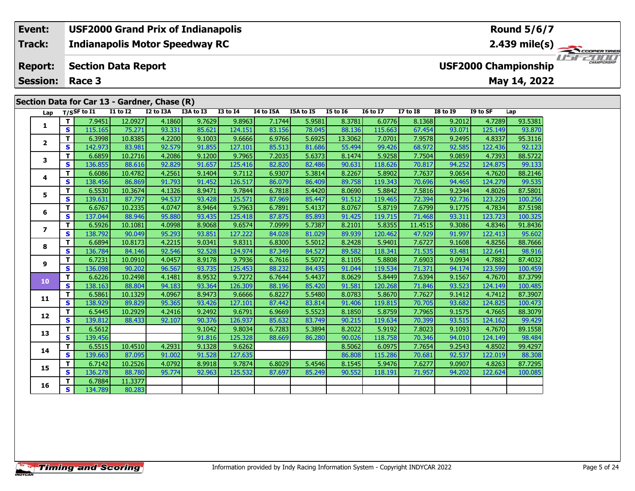# **Section Data for Car 13 - Gardner, Chase (R)**

| Lap                      |              | $T/S$ SF to I1 | <b>I1 to I2</b> | I2 to I3A | $\mathbf{v}$<br>I3A to I3 | <b>I3 to I4</b> | I4 to I5A | I5A to I5 | <b>I5 to 16</b> | <b>16 to 17</b> | <b>I7 to I8</b> | <b>I8 to I9</b> | I9 to SF | Lap     |
|--------------------------|--------------|----------------|-----------------|-----------|---------------------------|-----------------|-----------|-----------|-----------------|-----------------|-----------------|-----------------|----------|---------|
|                          | T.           | 7.9451         | 12.0927         | 4.1860    | 9.7629                    | 9.8963          | 7.1744    | 5.9581    | 8.3781          | 6.0776          | 8.1368          | 9.2012          | 4.7289   | 93.5381 |
| 1                        | S            | 115.165        | 75.271          | 93.331    | 85.621                    | 124.151         | 83.156    | 78.045    | 88.136          | 115.663         | 67.454          | 93.071          | 125.149  | 93.870  |
|                          | T            | 6.3998         | 10.8385         | 4.2200    | 9.1003                    | 9.6666          | 6.9766    | 5.6925    | 13.3062         | 7.0701          | 7.9578          | 9.2495          | 4.8337   | 95.3116 |
| $\mathbf{2}$             | S            | 142.973        | 83.981          | 92.579    | 91.855                    | 127.101         | 85.513    | 81.686    | 55.494          | 99.426          | 68.972          | 92.585          | 122.436  | 92.123  |
| 3                        | T            | 6.6859         | 10.2716         | 4.2086    | 9.1200                    | 9.7965          | 7.2035    | 5.6373    | 8.1474          | 5.9258          | 7.7504          | 9.0859          | 4.7393   | 88.5722 |
|                          | $\mathbf{s}$ | 136.855        | 88.616          | 92.829    | 91.657                    | 125.416         | 82.820    | 82.486    | 90.631          | 118.626         | 70.817          | 94.252          | 124.875  | 99.133  |
| 4                        | T            | 6.6086         | 10.4782         | 4.2561    | 9.1404                    | 9.7112          | 6.9307    | 5.3814    | 8.2267          | 5.8902          | 7.7637          | 9.0654          | 4.7620   | 88.2146 |
|                          | S            | 138.456        | 86.869          | 91.793    | 91.452                    | 126.517         | 86.079    | 86.409    | 89.758          | 119.343         | 70.696          | 94.465          | 124.279  | 99.535  |
| 5                        | T            | 6.5530         | 10.3674         | 4.1326    | 8.9471                    | 9.7844          | 6.7818    | 5.4420    | 8.0690          | 5.8842          | 7.5816          | 9.2344          | 4.8026   | 87.5801 |
|                          | $\mathbf{s}$ | 139.631        | 87.797          | 94.537    | 93.428                    | 125.571         | 87.969    | 85.447    | 91.512          | 119.465         | 72.394          | 92.736          | 123.229  | 100.256 |
| 6                        | T            | 6.6767         | 10.2335         | 4.0747    | 8.9464                    | 9.7963          | 6.7891    | 5.4137    | 8.0767          | 5.8719          | 7.6799          | 9.1775          | 4.7834   | 87.5198 |
|                          | <b>S</b>     | 137.044        | 88.946          | 95.880    | 93.435                    | 125.418         | 87.875    | 85.893    | 91.425          | 119.715         | 71.468          | 93.311          | 123.723  | 100.325 |
| $\overline{\phantom{a}}$ | T            | 6.5926         | 10.1081         | 4.0998    | 8.9068                    | 9.6574          | 7.0999    | 5.7387    | 8.2101          | 5.8355          | 11.4515         | 9.3086          | 4.8346   | 91.8436 |
|                          | S            | 138.792        | 90.049          | 95.293    | 93.851                    | 127.222         | 84.028    | 81.029    | 89.939          | 120.462         | 47.929          | 91.997          | 122.413  | 95.602  |
| 8                        | T            | 6.6894         | 10.8173         | 4.2215    | 9.0341                    | 9.8311          | 6.8300    | 5.5012    | 8.2428          | 5.9401          | 7.6727          | 9.1608          | 4.8256   | 88.7666 |
|                          | S            | 136.784        | 84.146          | 92.546    | 92.528                    | 124.974         | 87.349    | 84.527    | 89.582          | 118.341         | 71.535          | 93.481          | 122.641  | 98.916  |
| 9                        | T            | 6.7231         | 10.0910         | 4.0457    | 8.9178                    | 9.7936          | 6.7616    | 5.5072    | 8.1105          | 5.8808          | 7.6903          | 9.0934          | 4.7882   | 87.4032 |
|                          | $\mathbf{s}$ | 136.098        | 90.202          | 96.567    | 93.735                    | 125.453         | 88.232    | 84.435    | 91.044          | 119.534         | 71.371          | 94.174          | 123.599  | 100.459 |
| 10                       | T.           | 6.6226         | 10.2498         | 4.1481    | 8.9532                    | 9.7272          | 6.7644    | 5.4437    | 8.0629          | 5.8449          | 7.6394          | 9.1567          | 4.7670   | 87.3799 |
|                          | $\mathbf{s}$ | 138.163        | 88.804          | 94.183    | 93.364                    | 126.309         | 88.196    | 85.420    | 91.581          | 120.268         | 71.846          | 93.523          | 124.149  | 100.485 |
| 11                       | T            | 6.5861         | 10.1329         | 4.0967    | 8.9473                    | 9.6666          | 6.8227    | 5.5480    | 8.0783          | 5.8670          | 7.7627          | 9.1412          | 4.7412   | 87.3907 |
|                          | S            | 138.929        | 89.829          | 95.365    | 93.426                    | 127.101         | 87.442    | 83.814    | 91.406          | 119.815         | 70.705          | 93.682          | 124.825  | 100.473 |
| 12                       | T            | 6.5445         | 10.2929         | 4.2416    | 9.2492                    | 9.6791          | 6.9669    | 5.5523    | 8.1850          | 5.8759          | 7.7965          | 9.1575          | 4.7665   | 88.3079 |
|                          | S            | 139.812        | 88.433          | 92.107    | 90.376                    | 126.937         | 85.632    | 83.749    | 90.215          | 119.634         | 70.399          | 93.515          | 124.162  | 99.429  |
| 13                       | т            | 6.5612         |                 |           | 9.1042                    | 9.8034          | 6.7283    | 5.3894    | 8.2022          | 5.9192          | 7.8023          | 9.1093          | 4.7670   | 89.1558 |
|                          | $\mathbf{s}$ | 139.456        |                 |           | 91.816                    | 125.328         | 88.669    | 86.280    | 90.026          | 118.758         | 70.346          | 94.010          | 124.149  | 98.484  |
| 14                       | T.           | 6.5515         | 10.4510         | 4.2931    | 9.1328                    | 9.6262          |           |           | 8.5062          | 6.0975          | 7.7654          | 9.2543          | 4.8502   | 99.4297 |
|                          | $\mathbf{s}$ | 139.663        | 87.095          | 91.002    | 91.528                    | 127.635         |           |           | 86.808          | 115.286         | 70.681          | 92.537          | 122.019  | 88.308  |
| 15                       | т            | 6.7142         | 10.2526         | 4.0792    | 8.9918                    | 9.7874          | 6.8029    | 5.4546    | 8.1545          | 5.9476          | 7.6277          | 9.0907          | 4.8263   | 87.7295 |
|                          | S            | 136.278        | 88.780          | 95.774    | 92.963                    | 125.532         | 87.697    | 85.249    | 90.552          | 118.191         | 71.957          | 94.202          | 122.624  | 100.085 |
| 16                       | T            | 6.7884         | 11.3377         |           |                           |                 |           |           |                 |                 |                 |                 |          |         |
|                          | S            | 134.789        | 80.283          |           |                           |                 |           |           |                 |                 |                 |                 |          |         |

ER TIRES

USFZUUD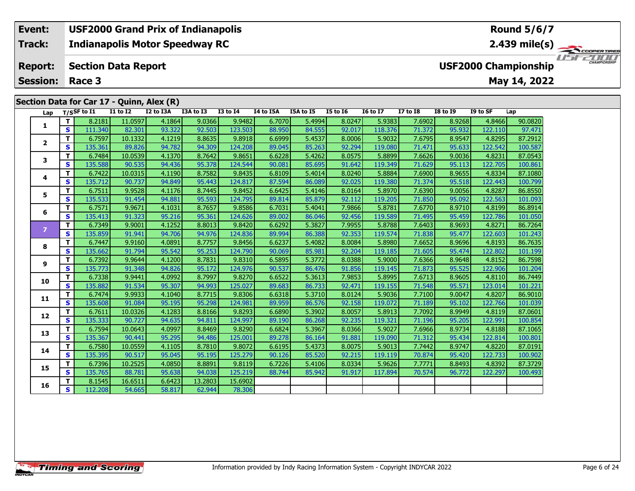**Indianapolis Motor Speedway RC Track:**

#### **Section Data Report Report:**

**Session:Race 3**

**1**

**2**

**3**

**4**

**5**

**6**

**8**

**9**

**10**

**11**

**12**

**13**

**14**

**15**

**16**

### **Lap T/SSF to I1 I1 to I2 I2 to I3A I3A to I3 I3 to I4 I4 to I5A I5A to I5 I5 to I6 I6 to I7 I7 to I8 I8 to I9 I9 to SF Lap Section Data for Car 17 - Quinn, Alex (R)**

| 1  |    | 8.2181  | 11.0597 | 4.1864 | 9.0366 | 9.9482  | 6.7070 | 5.4994 | 8.0247 | 5.9383  | 7.6902 | 8.9268 | 4.8466  | 90.0820 |
|----|----|---------|---------|--------|--------|---------|--------|--------|--------|---------|--------|--------|---------|---------|
|    | s  | 111.340 | 82.301  | 93.322 | 92.503 | 123.503 | 88.950 | 84.555 | 92.017 | 118.376 | 71.372 | 95.932 | 122.110 | 97.471  |
| 2  | т  | 6.7597  | 10.1332 | 4.1219 | 8.8635 | 9.8918  | 6.6999 | 5.4537 | 8.0006 | 5.9032  | 7.6795 | 8.9547 | 4.8295  | 87.2912 |
|    | S  | 135.361 | 89.826  | 94.782 | 94.309 | 124.208 | 89.045 | 85.263 | 92.294 | 119.080 | 71.471 | 95.633 | 122.542 | 100.587 |
| 3  | т  | 6.7484  | 10.0539 | 4.1370 | 8.7642 | 9.8651  | 6.6228 | 5.4262 | 8.0575 | 5.8899  | 7.6626 | 9.0036 | 4.8231  | 87.0543 |
|    | S  | 135.588 | 90.535  | 94.436 | 95.378 | 124.544 | 90.081 | 85.695 | 91.642 | 119.349 | 71.629 | 95.113 | 122.705 | 100.861 |
| 4  |    | 6.7422  | 10.0315 | 4.1190 | 8.7582 | 9.8435  | 6.8109 | 5.4014 | 8.0240 | 5.8884  | 7.6900 | 8.9655 | 4.8334  | 87.1080 |
|    | s  | 135.712 | 90.737  | 94.849 | 95.443 | 124.817 | 87.594 | 86.089 | 92.025 | 119.380 | 71.374 | 95.518 | 122.443 | 100.799 |
| 5  | т  | 6.7511  | 9.9528  | 4.1176 | 8.7445 | 9.8452  | 6.6425 | 5.4146 | 8.0164 | 5.8970  | 7.6390 | 9.0056 | 4.8287  | 86.8550 |
|    | S  | 135.533 | 91.454  | 94.881 | 95.593 | 124.795 | 89.814 | 85.879 | 92.112 | 119.205 | 71.850 | 95.092 | 122.563 | 101.093 |
| 6  | т  | 6.7571  | 9.9671  | 4.1031 | 8.7657 | 9.8586  | 6.7031 | 5.4041 | 7.9866 | 5.8781  | 7.6770 | 8.9710 | 4.8199  | 86.8914 |
|    | S  | 135.413 | 91.323  | 95.216 | 95.361 | 124.626 | 89.002 | 86.046 | 92.456 | 119.589 | 71.495 | 95.459 | 122.786 | 101.050 |
|    | Т  | 6.7349  | 9.9001  | 4.1252 | 8.8013 | 9.8420  | 6.6292 | 5.3827 | 7.9955 | 5.8788  | 7.6403 | 8.9693 | 4.8271  | 86.7264 |
|    | S  | 135.859 | 91.941  | 94.706 | 94.976 | 124.836 | 89.994 | 86.388 | 92.353 | 119.574 | 71.838 | 95.477 | 122.603 | 101.243 |
| 8  | т  | 6.7447  | 9.9160  | 4.0891 | 8.7757 | 9.8456  | 6.6237 | 5.4082 | 8.0084 | 5.8980  | 7.6652 | 8.9696 | 4.8193  | 86.7635 |
|    | S  | 135.662 | 91.794  | 95.542 | 95.253 | 124.790 | 90.069 | 85.981 | 92.204 | 119.185 | 71.605 | 95.474 | 122.802 | 101.199 |
| 9  | т  | 6.7392  | 9.9644  | 4.1200 | 8.7831 | 9.8310  | 6.5895 | 5.3772 | 8.0388 | 5.9000  | 7.6366 | 8.9648 | 4.8152  | 86.7598 |
|    | S  | 135.773 | 91.348  | 94.826 | 95.172 | 124.976 | 90.537 | 86.476 | 91.856 | 119.145 | 71.873 | 95.525 | 122.906 | 101.204 |
| LO | т  | 6.7338  | 9.9441  | 4.0992 | 8.7997 | 9.8270  | 6.6522 | 5.3613 | 7.9853 | 5.8995  | 7.6713 | 8.9605 | 4.8110  | 86.7449 |
|    | S  | 135.882 | 91.534  | 95.307 | 94.993 | 125.027 | 89.683 | 86.733 | 92.471 | 119.155 | 71.548 | 95.571 | 123.014 | 101.221 |
| ι1 | т  | 6.7474  | 9.9933  | 4.1040 | 8.7715 | 9.8306  | 6.6318 | 5.3710 | 8.0124 | 5.9036  | 7.7100 | 9.0047 | 4.8207  | 86.9010 |
|    | S  | 135.608 | 91.084  | 95.195 | 95.298 | 124.981 | 89.959 | 86.576 | 92.158 | 119.072 | 71.189 | 95.102 | 122.766 | 101.039 |
| L2 |    | 6.7611  | 10.0326 | 4.1283 | 8.8166 | 9.8293  | 6.6890 | 5.3902 | 8.0057 | 5.8913  | 7.7092 | 8.9949 | 4.8119  | 87.0601 |
|    | s  | 135.333 | 90.727  | 94.635 | 94.811 | 124.997 | 89.190 | 86.268 | 92.235 | 119.321 | 71.196 | 95.205 | 122.991 | 100.854 |
| L3 | т  | 6.7594  | 10.0643 | 4.0997 | 8.8469 | 9.8290  | 6.6824 | 5.3967 | 8.0366 | 5.9027  | 7.6966 | 8.9734 | 4.8188  | 87.1065 |
|    | S  | 135.367 | 90.441  | 95.295 | 94.486 | 125.001 | 89.278 | 86.164 | 91.881 | 119.090 | 71.312 | 95.434 | 122.814 | 100.801 |
| ι4 | т  | 6.7580  | 10.0559 | 4.1105 | 8.7810 | 9.8072  | 6.6195 | 5.4373 | 8.0075 | 5.9013  | 7.7442 | 8.9747 | 4.8220  | 87.0191 |
|    | s  | 135.395 | 90.517  | 95.045 | 95.195 | 125.279 | 90.126 | 85.520 | 92.215 | 119.119 | 70.874 | 95.420 | 122.733 | 100.902 |
|    | т. | 6.7396  | 10.2525 | 4.0850 | 8.8891 | 9.8119  | 6.7226 | 5.4106 | 8.0334 | 5.9626  | 7.7771 | 8.8493 | 4.8392  | 87.3729 |

**<sup>T</sup>** 6.7396 10.2525 4.0850 8.8891 9.8119 6.7226 5.4106 8.0334 5.9626 7.7771 8.8493 4.8392 87.3729 **<sup>S</sup>** 135.765 88.781 95.638 94.038 125.219 88.744 85.942 91.917 117.894 70.574 96.772 122.297 100.493



**2.439 mile(s)**

**May 14, 2022**



**USF2000 Championship**

**<sup>T</sup>** 8.1545 16.6511 6.6423 13.2803 15.6902 **<sup>S</sup>** 112.208 54.665 58.817 62.944 78.306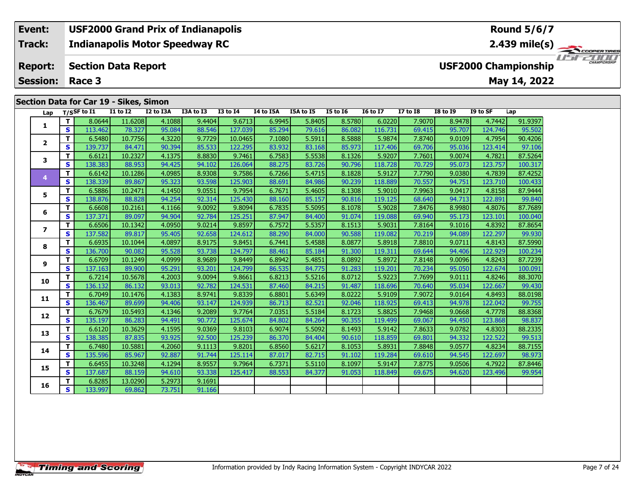**Indianapolis Motor Speedway RC Track:**

#### **Section Data Report Report:**

**Session: Race 3**

**Event:**

# **Section Data for Car 19 - Sikes, Simon**

| Lap                      |    | T/SSF to I1 | יוסוווען נטאווט<br><b>I1 to I2</b> | I2 to I3A | I3A to I3 | <b>I3 to I4</b> | I4 to I5A | I5A to I5 | <b>I5 to 16</b> | <b>16 to 17</b> | <b>I7 to I8</b> | <b>I8 to I9</b> | I9 to SF | Lap     |
|--------------------------|----|-------------|------------------------------------|-----------|-----------|-----------------|-----------|-----------|-----------------|-----------------|-----------------|-----------------|----------|---------|
|                          | T. | 8.0644      | 11.6208                            | 4.1088    | 9.4404    | 9.6713          | 6.9945    | 5.8405    | 8.5780          | 6.0220          | 7.9070          | 8.9478          | 4.7442   | 91.9397 |
| 1                        | S  | 113.462     | 78.327                             | 95.084    | 88.546    | 127.039         | 85.294    | 79.616    | 86.082          | 116.731         | 69.415          | 95.707          | 124.746  | 95.502  |
|                          | т  | 6.5480      | 10.7756                            | 4.3220    | 9.7729    | 10.0465         | 7.1080    | 5.5911    | 8.5888          | 5.9874          | 7.8740          | 9.0109          | 4.7954   | 90.4206 |
| $\overline{2}$           | s  | 139.737     | 84.471                             | 90.394    | 85.533    | 122.295         | 83.932    | 83.168    | 85.973          | 117.406         | 69.706          | 95.036          | 123.414  | 97.106  |
| 3                        | т  | 6.6121      | 10.2327                            | 4.1375    | 8.8830    | 9.7461          | 6.7583    | 5.5538    | 8.1326          | 5.9207          | 7.7601          | 9.0074          | 4.7821   | 87.5264 |
|                          | s  | 138.383     | 88.953                             | 94.425    | 94.102    | 126.064         | 88.275    | 83.726    | 90.796          | 118.728         | 70.729          | 95.073          | 123.757  | 100.317 |
| 4                        | т  | 6.6142      | 10.1286                            | 4.0985    | 8.9308    | 9.7586          | 6.7266    | 5.4715    | 8.1828          | 5.9127          | 7.7790          | 9.0380          | 4.7839   | 87.4252 |
|                          | S  | 138.339     | 89.867                             | 95.323    | 93.598    | 125.903         | 88.691    | 84.986    | 90.239          | 118,889         | 70.557          | 94.751          | 123.710  | 100.433 |
| 5                        | т  | 6.5886      | 10.2471                            | 4.1450    | 9.0551    | 9.7954          | 6.7671    | 5.4605    | 8.1308          | 5.9010          | 7.9963          | 9.0417          | 4.8158   | 87.9444 |
|                          | S  | 138.876     | 88.828                             | 94.254    | 92.314    | 125.430         | 88.160    | 85.157    | 90.816          | 119.125         | 68.640          | 94.713          | 122.891  | 99.840  |
| 6                        | т  | 6.6608      | 10.2161                            | 4.1166    | 9.0092    | 9.8094          | 6.7835    | 5.5095    | 8.1078          | 5.9028          | 7.8476          | 8.9980          | 4.8076   | 87.7689 |
|                          | s  | 137.371     | 89.097                             | 94.904    | 92.784    | 125.251         | 87.947    | 84.400    | 91.074          | 119.088         | 69.940          | 95.173          | 123.101  | 100.040 |
| $\overline{\phantom{a}}$ | T. | 6.6506      | 10.1342                            | 4.0950    | 9.0214    | 9.8597          | 6.7572    | 5.5357    | 8.1513          | 5.9031          | 7.8164          | 9.1016          | 4.8392   | 87.8654 |
|                          | S  | 137.582     | 89.817                             | 95.405    | 92.658    | 124.612         | 88.290    | 84.000    | 90.588          | 119.082         | 70.219          | 94.089          | 122.297  | 99.930  |
| 8                        | т  | 6.6935      | 10.1044                            | 4.0897    | 8.9175    | 9.8451          | 6.7441    | 5.4588    | 8.0877          | 5.8918          | 7.8810          | 9.0711          | 4.8143   | 87.5990 |
|                          | S  | 136.700     | 90.082                             | 95.528    | 93.738    | 124.797         | 88.461    | 85.184    | 91.300          | 119.311         | 69.644          | 94.406          | 122.929  | 100.234 |
| 9                        | T. | 6.6709      | 10.1249                            | 4.0999    | 8.9689    | 9.8449          | 6.8942    | 5.4851    | 8.0892          | 5.8972          | 7.8148          | 9.0096          | 4.8243   | 87.7239 |
|                          | S  | 137.163     | 89.900                             | 95.291    | 93.201    | 124.799         | 86.535    | 84.775    | 91.283          | 119.201         | 70.234          | 95.050          | 122.674  | 100.091 |
| 10                       | T. | 6.7214      | 10.5678                            | 4.2003    | 9.0094    | 9.8661          | 6.8213    | 5.5216    | 8.0712          | 5.9223          | 7.7699          | 9.0111          | 4.8246   | 88.3070 |
|                          | S  | 136.132     | 86.132                             | 93.013    | 92.782    | 124.531         | 87.460    | 84.215    | 91.487          | 118.696         | 70.640          | 95.034          | 122.667  | 99.430  |
| 11                       | T. | 6.7049      | 10.1476                            | 4.1383    | 8.9741    | 9.8339          | 6.8801    | 5.6349    | 8.0222          | 5.9109          | 7.9072          | 9.0164          | 4.8493   | 88.0198 |
|                          | S  | 136.467     | 89.699                             | 94.406    | 93.147    | 124.939         | 86.713    | 82.521    | 92.046          | 118.925         | 69.413          | 94.978          | 122.042  | 99.755  |
| 12                       | т  | 6.7679      | 10.5493                            | 4.1346    | 9.2089    | 9.7764          | 7.0351    | 5.5184    | 8.1723          | 5.8825          | 7.9468          | 9.0668          | 4.7778   | 88.8368 |
|                          | S  | 135.197     | 86.283                             | 94.491    | 90.772    | 125.674         | 84.802    | 84.264    | 90.355          | 119.499         | 69.067          | 94.450          | 123.868  | 98.837  |
| 13                       | T. | 6.6120      | 10.3629                            | 4.1595    | 9.0369    | 9.8103          | 6.9074    | 5.5092    | 8.1493          | 5.9142          | 7.8633          | 9.0782          | 4.8303   | 88.2335 |
|                          | S  | 138.385     | 87.835                             | 93.925    | 92.500    | 125.239         | 86.370    | 84.404    | 90.610          | 118.859         | 69.801          | 94.332          | 122.522  | 99.513  |
| 14                       | T. | 6.7480      | 10.5881                            | 4.2060    | 9.1113    | 9.8201          | 6.8560    | 5.6217    | 8.1053          | 5.8931          | 7.8848          | 9.0577          | 4.8234   | 88.7155 |
|                          | S  | 135.596     | 85.967                             | 92.887    | 91.744    | 125.114         | 87.017    | 82.715    | 91.102          | 119.284         | 69.610          | 94.545          | 122.697  | 98.973  |
| 15                       | T. | 6.6455      | 10.3248                            | 4.1294    | 8.9557    | 9.7964          | 6.7371    | 5.5110    | 8.1097          | 5.9147          | 7.8775          | 9.0506          | 4.7922   | 87.8446 |
|                          | S  | 137.687     | 88.159                             | 94.610    | 93.338    | 125.417         | 88.553    | 84.377    | 91.053          | 118,849         | 69.675          | 94.620          | 123.496  | 99.954  |
| 16                       | т  | 6.8285      | 13.0290                            | 5.2973    | 9.1691    |                 |           |           |                 |                 |                 |                 |          |         |
|                          | S  | 133.997     | 69.862                             | 73.751    | 91.166    |                 |           |           |                 |                 |                 |                 |          |         |

### **2.439 mile(s)** ER TIRES USFZOOD

**USF2000 Championship**

**May 14, 2022**

**Round 5/6/7**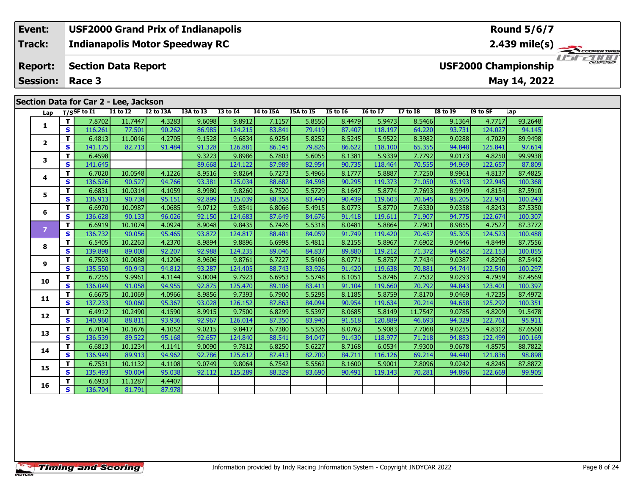### **Section Data for Car 2 - Lee, Jackson**

| Lap            |                   | T/SSF to I1       | <b>I1 to I2</b>   | I2 to I3A        | I3A to I3        | $I3$ to $I4$      | I4 to I5A        | I5A to I5        | <b>I5 to I6</b>  | <b>16 to 17</b>   | <b>I7 to I8</b>  | <b>I8 to I9</b>  | I9 to SF          | Lap                |
|----------------|-------------------|-------------------|-------------------|------------------|------------------|-------------------|------------------|------------------|------------------|-------------------|------------------|------------------|-------------------|--------------------|
|                | T.                | 7.8702            | 11.7447           | 4.3283           | 9.6098           | 9.8912            | 7.1157           | 5.8550           | 8.4479           | 5.9473            | 8.5466           | 9.1364           | 4.7717            | 93.2648            |
| 1              | <b>S</b>          | 116.261           | 77.501            | 90.262           | 86.985           | 124.215           | 83.841           | 79.419           | 87.407           | 118.197           | 64.220           | 93.731           | 124.027           | 94.145             |
| $\mathbf{2}$   | т                 | 6.4813            | 11.0046           | 4.2705           | 9.1528           | 9.6834            | 6.9254           | 5.8252           | 8.5245           | 5.9522            | 8.3982           | 9.0288           | 4.7029            | 89.9498            |
|                | S                 | 141.175           | 82.713            | 91.484           | 91.328           | 126.881           | 86.145           | 79.826           | 86.622           | 118.100           | 65.355           | 94.848           | 125.841           | 97.614             |
| 3              | T                 | 6.4598            |                   |                  | 9.3223           | 9.8986            | 6.7803           | 5.6055           | 8.1381           | 5.9339            | 7.7792           | 9.0173           | 4.8250            | 99.9938            |
|                | S                 | 141.645           |                   |                  | 89.668           | 124.122           | 87.989           | 82.954           | 90.735           | 118.464           | 70.555           | 94.969           | 122.657           | 87.809             |
| 4              | T.                | 6.7020            | 10.0548           | 4.1226           | 8.9516           | 9.8264            | 6.7273           | 5.4966           | 8.1777           | 5.8887            | 7.7250           | 8.9961           | 4.8137            | 87.4825            |
|                | S                 | 136.526           | 90.527            | 94.766           | 93.381           | 125.034           | 88.682           | 84.598           | 90.295           | 119.373           | 71.050           | 95.193           | 122.945           | 100.368            |
| 5              | т                 | 6.6831            | 10.0314           | 4.1059           | 8.9980           | 9.8260            | 6.7520           | 5.5729           | 8.1647           | 5.8774            | 7.7693           | 8.9949           | 4.8154            | 87.5910            |
|                | S                 | 136.913           | 90.738            | 95.151           | 92.899           | 125.039           | 88.358           | 83.440           | 90.439           | 119.603           | 70.645           | 95.205           | 122.901           | 100.243            |
| 6              | T.                | 6.6970            | 10.0987           | 4.0685           | 9.0712           | 9.8541            | 6.8066           | 5.4915           | 8.0773           | 5.8770            | 7.6330           | 9.0358           | 4.8243            | 87.5350            |
|                | S                 | 136.628           | 90.133            | 96.026           | 92.150           | 124.683           | 87.649           | 84.676           | 91.418           | 119.611           | 71.907           | 94.775           | 122.674           | 100.307            |
| $\overline{7}$ | T.                | 6.6919            | 10.1074           | 4.0924           | 8.9048           | 9.8435            | 6.7426           | 5.5318           | 8.0481           | 5.8864            | 7.7901           | 8.9855           | 4.7527            | 87.3772            |
|                | S                 | 136.732           | 90.056            | 95.465           | 93.872           | 124.817           | 88.481           | 84.059           | 91.749           | 119.420           | 70.457           | 95.305           | 124.523           | 100.488            |
| 8              | T.                | 6.5405            | 10.2263           | 4.2370           | 8.9894           | 9.8896            | 6.6998           | 5.4811           | 8.2155           | 5.8967            | 7.6902           | 9.0446           | 4.8449            | 87.7556            |
|                | S                 | 139.898           | 89.008            | 92.207           | 92.988           | 124.235           | 89.046           | 84.837           | 89.880           | 119.212           | 71.372           | 94.682           | 122.153           | 100.055            |
| 9              | T.                | 6.7503            | 10.0088           | 4.1206           | 8.9606           | 9.8761            | 6.7227           | 5.5406           | 8.0771           | 5.8757            | 7.7434           | 9.0387           | 4.8296            | 87.5442            |
|                | $\mathbf{s}$      | 135.550           | 90.943            | 94.812           | 93.287           | 124.405           | 88.743           | 83.926           | 91.420           | 119.638           | 70.881           | 94.744           | 122.540           | 100.297            |
| 10             | т                 | 6.7255            | 9.9961            | 4.1144           | 9.0004           | 9.7923            | 6.6953           | 5.5748           | 8.1051           | 5.8746            | 7.7532           | 9.0293           | 4.7959            | 87.4569            |
|                | $\mathbf{s}$      | 136.049           | 91.058            | 94.955           | 92.875           | 125.470           | 89.106           | 83.411           | 91.104           | 119.660           | 70.792           | 94.843           | 123.401           | 100.397            |
| 11             | т                 | 6.6675            | 10.1069           | 4.0966           | 8.9856           | 9.7393            | 6.7900           | 5.5295           | 8.1185           | 5.8759            | 7.8170           | 9.0469           | 4.7235            | 87.4972            |
|                | S                 | 137.233           | 90.060            | 95.367           | 93.028           | 126.152           | 87.863           | 84.094           | 90.954           | 119.634           | 70.214           | 94.658           | 125.292           | 100.351            |
| 12             | T<br>$\mathbf{s}$ | 6.4912            | 10.2490           | 4.1590           | 8.9915           | 9.7500            | 6.8299           | 5.5397           | 8.0685           | 5.8149            | 11.7547          | 9.0785           | 4.8209            | 91.5478            |
|                |                   | 140.960           | 88.811            | 93.936           | 92.967           | 126.014           | 87.350           | 83.940           | 91.518           | 120.889           | 46.693           | 94.329           | 122.761           | 95.911             |
| 13             | T<br>$\mathbf{s}$ | 6.7014            | 10.1676           | 4.1052           | 9.0215           | 9.8417            | 6.7380           | 5.5326           | 8.0762           | 5.9083            | 7.7068           | 9.0255           | 4.8312            | 87.6560            |
|                | T.                | 136.539<br>6.6813 | 89.522<br>10.1234 | 95.168<br>4.1141 | 92.657<br>9.0090 | 124.840<br>9.7812 | 88.541<br>6.8250 | 84.047<br>5.6227 | 91.430<br>8.7168 | 118.977<br>6.0534 | 71.218<br>7.9300 | 94.883<br>9.0678 | 122.499<br>4.8575 | 100.169<br>88.7822 |
| 14             | $\mathbf{s}$      | 136.949           | 89.913            | 94.962           | 92.786           | 125.612           | 87.413           | 82.700           | 84.711           | 116.126           | 69.214           |                  | 121.836           |                    |
|                | T.                | 6.7531            | 10.1132           | 4.1108           | 9.0749           | 9.8064            | 6.7542           | 5.5562           | 8.1600           | 5.9001            | 7.8096           | 94.440<br>9.0242 | 4.8245            | 98.898<br>87.8872  |
| 15             | $\mathbf{s}$      | 135.493           | 90.004            | 95.038           | 92.112           | 125.289           | 88.329           | 83.690           | 90.491           | 119.143           | 70.281           | 94.896           | 122.669           | 99.905             |
|                | т                 | 6.6933            | 11.1287           | 4.4407           |                  |                   |                  |                  |                  |                   |                  |                  |                   |                    |
| 16             | $\mathbf{s}$      | 136.704           | 81.791            | 87.978           |                  |                   |                  |                  |                  |                   |                  |                  |                   |                    |
|                |                   |                   |                   |                  |                  |                   |                  |                  |                  |                   |                  |                  |                   |                    |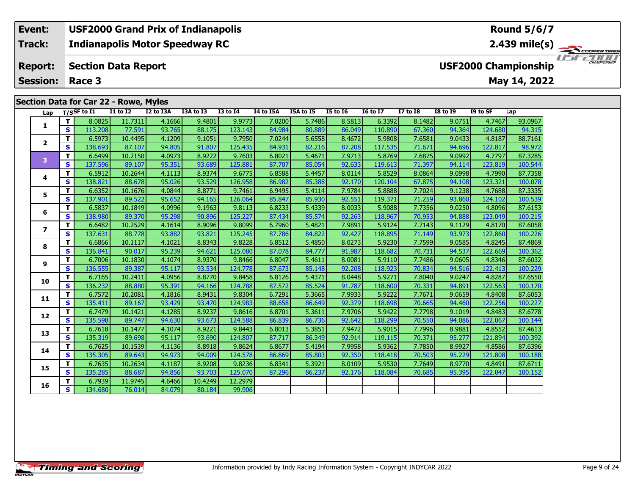### **Indianapolis Motor Speedway RC Section Data Report Event: USF2000 Grand Prix of Indianapolis Track: Report: USF2000 Championship**

**Session: Race 3**

### **Section Data for Car 22 - Rowe, Myles**

| Lap            |              | T/SSF to I1 | <b>I1 to I2</b> | I2 to I3A | I3A to I3 | <b>I3 to I4</b> | I4 to I5A | I5A to I5 | <b>I5 to 16</b> | <b>16 to 17</b> | <b>I7 to I8</b> | <b>I8 to I9</b> | I9 to SF | Lap     |
|----------------|--------------|-------------|-----------------|-----------|-----------|-----------------|-----------|-----------|-----------------|-----------------|-----------------|-----------------|----------|---------|
| 1              | T.           | 8.0825      | 11.7311         | 4.1666    | 9.4801    | 9.9773          | 7.0200    | 5.7486    | 8.5813          | 6.3392          | 8.1482          | 9.0751          | 4.7467   | 93.0967 |
|                | S            | 113.208     | 77.591          | 93.765    | 88.175    | 123.143         | 84.984    | 80.889    | 86.049          | 110.890         | 67.360          | 94.364          | 124.680  | 94.315  |
| $\overline{2}$ | T.           | 6.5973      | 10.4495         | 4.1209    | 9.1051    | 9.7950          | 7.0244    | 5.6558    | 8.4672          | 5.9808          | 7.6581          | 9.0433          | 4.8187   | 88.7161 |
|                | S            | 138.693     | 87.107          | 94.805    | 91.807    | 125.435         | 84.931    | 82.216    | 87.208          | 117.535         | 71.671          | 94.696          | 122.817  | 98.972  |
| 3              | T.           | 6.6499      | 10.2150         | 4.0973    | 8.9222    | 9.7603          | 6.8021    | 5.4671    | 7.9713          | 5.8769          | 7.6875          | 9.0992          | 4.7797   | 87.3285 |
|                | S            | 137.596     | 89.107          | 95.351    | 93.689    | 125.881         | 87.707    | 85.054    | 92.633          | 119.613         | 71.397          | 94.114          | 123.819  | 100.544 |
| 4              | T.           | 6.5912      | 10.2644         | 4.1113    | 8.9374    | 9.6775          | 6.8588    | 5.4457    | 8.0114          | 5.8529          | 8.0864          | 9.0998          | 4.7990   | 87.7358 |
|                | S            | 138.821     | 88.678          | 95.026    | 93.529    | 126.958         | 86.982    | 85.388    | 92.170          | 120.104         | 67.875          | 94.108          | 123.321  | 100.078 |
| 5              | T.           | 6.6352      | 10.1676         | 4.0844    | 8.8771    | 9.7461          | 6.9495    | 5.4114    | 7.9784          | 5.8888          | 7.7024          | 9.1238          | 4.7688   | 87.3335 |
|                | $\mathbf{s}$ | 137.901     | 89.522          | 95.652    | 94.165    | 126.064         | 85.847    | 85.930    | 92.551          | 119.371         | 71.259          | 93.860          | 124.102  | 100.539 |
| 6              | T.           | 6.5837      | 10.1849         | 4.0996    | 9.1963    | 9.8113          | 6.8233    | 5.4339    | 8.0033          | 5.9088          | 7.7356          | 9.0250          | 4.8096   | 87.6153 |
|                | S            | 138.980     | 89.370          | 95.298    | 90.896    | 125.227         | 87.434    | 85.574    | 92.263          | 118.967         | 70.953          | 94.888          | 123.049  | 100.215 |
| $\overline{ }$ | T.           | 6.6482      | 10.2529         | 4.1614    | 8.9096    | 9.8099          | 6.7960    | 5.4821    | 7.9891          | 5.9124          | 7.7143          | 9.1129          | 4.8170   | 87.6058 |
|                | S            | 137.631     | 88.778          | 93.882    | 93.821    | 125.245         | 87.786    | 84.822    | 92.427          | 118.895         | 71.149          | 93.973          | 122.860  | 100.226 |
| 8              | T.           | 6.6866      | 10.1117         | 4.1021    | 8.8343    | 9.8228          | 6.8512    | 5.4850    | 8.0273          | 5.9230          | 7.7599          | 9.0585          | 4.8245   | 87.4869 |
|                | S            | 136.841     | 90.017          | 95.239    | 94.621    | 125.080         | 87.078    | 84.777    | 91.987          | 118.682         | 70.731          | 94.537          | 122.669  | 100.362 |
| 9              | T.           | 6.7006      | 10.1830         | 4.1074    | 8.9370    | 9.8466          | 6.8047    | 5.4611    | 8.0081          | 5.9110          | 7.7486          | 9.0605          | 4.8346   | 87.6032 |
|                | S            | 136.555     | 89.387          | 95.117    | 93.534    | 124.778         | 87.673    | 85.148    | 92.208          | 118.923         | 70.834          | 94.516          | 122.413  | 100.229 |
| 10             | T.           | 6.7165      | 10.2411         | 4.0956    | 8.8770    | 9.8458          | 6.8126    | 5.4371    | 8.0448          | 5.9271          | 7.8040          | 9.0247          | 4.8287   | 87.6550 |
|                | S            | 136.232     | 88.880          | 95.391    | 94.166    | 124.788         | 87.572    | 85.524    | 91.787          | 118.600         | 70.331          | 94.891          | 122.563  | 100.170 |
| 11             | T.           | 6.7572      | 10.2081         | 4.1816    | 8.9431    | 9.8304          | 6.7291    | 5.3665    | 7.9933          | 5.9222          | 7.7671          | 9.0659          | 4.8408   | 87.6053 |
|                | S.           | 135.411     | 89.167          | 93.429    | 93.470    | 124.983         | 88.658    | 86.649    | 92.379          | 118.698         | 70.665          | 94.460          | 122.256  | 100.227 |
| 12             | T.           | 6.7479      | 10.1421         | 4.1285    | 8.9237    | 9.8616          | 6.8701    | 5.3611    | 7.9706          | 5.9422          | 7.7798          | 9.1019          | 4.8483   | 87.6778 |
|                | S            | 135.598     | 89.747          | 94.630    | 93.673    | 124.588         | 86.839    | 86.736    | 92.642          | 118.299         | 70.550          | 94.086          | 122.067  | 100.144 |
| 13             | T.           | 6.7618      | 10.1477         | 4.1074    | 8.9221    | 9.8443          | 6.8013    | 5.3851    | 7.9472          | 5.9015          | 7.7996          | 8.9881          | 4.8552   | 87.4613 |
|                | S            | 135.319     | 89.698          | 95.117    | 93.690    | 124.807         | 87.717    | 86.349    | 92.914          | 119.115         | 70.371          | 95.277          | 121.894  | 100.392 |
| 14             | T.           | 6.7625      | 10.1539         | 4.1136    | 8.8918    | 9.8624          | 6.8677    | 5.4194    | 7.9958          | 5.9362          | 7.7850          | 8.9927          | 4.8586   | 87.6396 |
|                | S            | 135.305     | 89.643          | 94.973    | 94.009    | 124.578         | 86.869    | 85.803    | 92.350          | 118.418         | 70.503          | 95.229          | 121.808  | 100.188 |
| 15             | T.           | 6.7635      | 10.2634         | 4.1187    | 8.9208    | 9.8236          | 6.8341    | 5.3921    | 8.0109          | 5.9530          | 7.7649          | 8.9770          | 4.8491   | 87.6711 |
|                | <b>S</b>     | 135.285     | 88.687          | 94.856    | 93.703    | 125.070         | 87.296    | 86.237    | 92.176          | 118.084         | 70.685          | 95.395          | 122.047  | 100.152 |
| 16             | т            | 6.7939      | 11.9745         | 4.6466    | 10.4249   | 12.2979         |           |           |                 |                 |                 |                 |          |         |
|                | S.           | 134.680     | 76.014          | 84.079    | 80.184    | 99.906          |           |           |                 |                 |                 |                 |          |         |

### **Round 5/6/7**

**2.439 mile(s)**

**May 14, 2022**

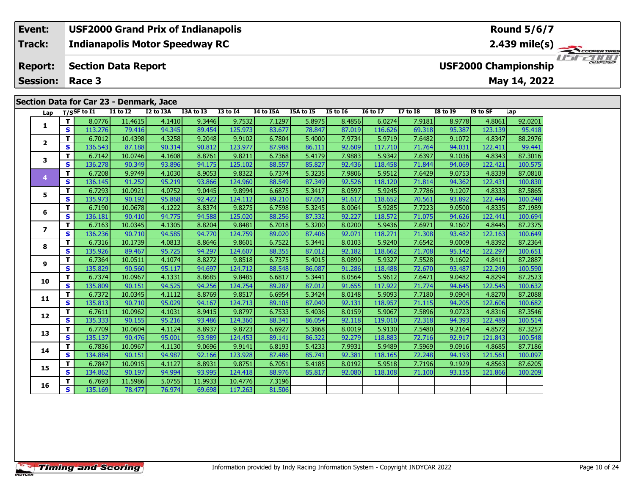### **Section Data for Car 23 - Denmark, Jace**

| Lap               |                         | T/SSF to I1 | <b>I1 to I2</b> | I2 to I3A |        | I3A to I3 | <b>I3 to I4</b> | I4 to I5A | I5A to I5 | <b>I5 to 16</b> | <b>16 to 17</b> | <b>I7 to I8</b> | <b>I8 to I9</b> | I9 to SF | Lap     |
|-------------------|-------------------------|-------------|-----------------|-----------|--------|-----------|-----------------|-----------|-----------|-----------------|-----------------|-----------------|-----------------|----------|---------|
|                   | T.                      | 8.0776      | 11.4615         |           | 4.1410 | 9.3446    | 9.7532          | 7.1297    | 5.8975    | 8.4856          | 6.0274          | 7.9181          | 8.9778          | 4.8061   | 92.0201 |
| 1                 | S                       | 113.276     | 79.416          |           | 94.345 | 89.454    | 125.973         | 83.677    | 78.847    | 87.019          | 116,626         | 69.318          | 95.387          | 123.139  | 95.418  |
| $\mathbf{2}$      | T.                      | 6.7012      | 10.4398         |           | 4.3258 | 9.2048    | 9.9102          | 6.7804    | 5.4000    | 7.9734          | 5.9719          | 7.6482          | 9.1072          | 4.8347   | 88.2976 |
|                   | S                       | 136.543     | 87.188          |           | 90.314 | 90.812    | 123.977         | 87.988    | 86.111    | 92.609          | 117.710         | 71.764          | 94.031          | 122.411  | 99.441  |
| 3                 | T.                      | 6.7142      | 10.0746         |           | 4.1608 | 8.8761    | 9.8211          | 6.7368    | 5.4179    | 7.9883          | 5.9342          | 7.6397          | 9.1036          | 4.8343   | 87.3016 |
|                   | $\mathbf{s}$            | 136.278     | 90.349          |           | 93.896 | 94.175    | 125.102         | 88.557    | 85.827    | 92.436          | 118.458         | 71.844          | 94.069          | 122.421  | 100.575 |
| 4                 | T.                      | 6.7208      | 9.9749          |           | 4.1030 | 8.9053    | 9.8322          | 6.7374    | 5.3235    | 7.9806          | 5.9512          | 7.6429          | 9.0753          | 4.8339   | 87.0810 |
|                   | S                       | 136.145     | 91.252          |           | 95.219 | 93.866    | 124.960         | 88.549    | 87.349    | 92.526          | 118.120         | 71.814          | 94.362          | 122.431  | 100.830 |
| 5                 | T.                      | 6.7293      | 10.0921         |           | 4.0752 | 9.0445    | 9.8994          | 6.6875    | 5.3417    | 8.0597          | 5.9245          | 7.7786          | 9.1207          | 4.8333   | 87.5865 |
|                   | $\mathbf s$             | 135.973     | 90.192          |           | 95.868 | 92.422    | 124.112         | 89.210    | 87.051    | 91.617          | 118.652         | 70.561          | 93.892          | 122.446  | 100.248 |
| 6                 | T.                      | 6.7190      | 10.0678         |           | 4.1222 | 8.8374    | 9.8275          | 6.7598    | 5.3245    | 8.0064          | 5.9285          | 7.7223          | 9.0500          | 4.8335   | 87.1989 |
|                   | S.                      | 136.181     | 90.410          |           | 94.775 | 94.588    | 125.020         | 88.256    | 87.332    | 92.227          | 118.572         | 71.075          | 94.626          | 122.441  | 100.694 |
| 7                 | T.                      | 6.7163      | 10.0345         |           | 4.1305 | 8.8204    | 9.8481          | 6.7018    | 5.3200    | 8.0200          | 5.9436          | 7.6971          | 9.1607          | 4.8445   | 87.2375 |
|                   | S                       | 136.236     | 90.710          |           | 94.585 | 94.770    | 124.759         | 89.020    | 87.406    | 92.071          | 118.271         | 71.308          | 93.482          | 122.163  | 100.649 |
| 8                 | T.                      | 6.7316      | 10.1739         |           | 4.0813 | 8.8646    | 9.8601          | 6.7522    | 5.3441    | 8.0103          | 5.9240          | 7.6542          | 9.0009          | 4.8392   | 87.2364 |
|                   | S                       | 135.926     | 89.467          |           | 95.725 | 94.297    | 124.607         | 88.355    | 87.012    | 92.182          | 118.662         | 71.708          | 95.142          | 122.297  | 100.651 |
| 9                 | T.                      | 6.7364      | 10.0511         |           | 4.1074 | 8.8272    | 9.8518          | 6.7375    | 5.4015    | 8.0890          | 5.9327          | 7.5528          | 9.1602          | 4.8411   | 87.2887 |
|                   | $\mathbf{s}$            | 135.829     | 90.560          |           | 95.117 | 94.697    | 124.712         | 88.548    | 86.087    | 91.286          | 118.488         | 72.670          | 93.487          | 122.249  | 100.590 |
| 10                | T.                      | 6.7374      | 10.0967         |           | 4.1331 | 8.8685    | 9.8485          | 6.6817    | 5.3441    | 8.0564          | 5.9612          | 7.6471          | 9.0482          | 4.8294   | 87.2523 |
|                   | $\mathbf{s}$            | 135.809     | 90.151          |           | 94.525 | 94.256    | 124.754         | 89.287    | 87.012    | 91.655          | 117.922         | 71.774          | 94.645          | 122.545  | 100.632 |
| 11                | T.                      | 6.7372      | 10.0345         |           | 4.1112 | 8.8769    | 9.8517          | 6.6954    | 5.3424    | 8.0148          | 5.9093          | 7.7180          | 9.0904          | 4.8270   | 87.2088 |
|                   | S                       | 135.813     | 90.710          |           | 95.029 | 94.167    | 124.713         | 89.105    | 87.040    | 92.131          | 118.957         | 71.115          | 94.205          | 122.606  | 100.682 |
| $12 \overline{ }$ | T.                      | 6.7611      | 10.0962         |           | 4.1031 | 8.9415    | 9.8797          | 6.7533    | 5.4036    | 8.0159          | 5.9067          | 7.5896          | 9.0723          | 4.8316   | 87.3546 |
|                   | $\mathbf{s}$            | 135.333     | 90.155          |           | 95.216 | 93.486    | 124.360         | 88.341    | 86.054    | 92.118          | 119.010         | 72.318          | 94.393          | 122.489  | 100.514 |
| 13                | T.                      | 6.7709      | 10.0604         |           | 4.1124 | 8.8937    | 9.8723          | 6.6927    | 5.3868    | 8.0019          | 5.9130          | 7.5480          | 9.2164          | 4.8572   | 87.3257 |
|                   | $\mathbf s$             | 135.137     | 90.476          |           | 95.001 | 93.989    | 124.453         | 89.141    | 86.322    | 92.279          | 118.883         | 72.716          | 92.917          | 121.843  | 100.548 |
| 14                | T.                      | 6.7836      | 10.0967         |           | 4.1130 | 9.0696    | 9.9141          | 6.8193    | 5.4233    | 7.9931          | 5.9489          | 7.5969          | 9.0916          | 4.8685   | 87.7186 |
|                   | <b>S</b>                | 134.884     | 90.151          |           | 94.987 | 92.166    | 123.928         | 87.486    | 85.741    | 92.381          | 118.165         | 72.248          | 94.193          | 121.561  | 100.097 |
| 15                | T.                      | 6.7847      | 10.0915         |           | 4.1127 | 8.8931    | 9.8751          | 6.7051    | 5.4185    | 8.0192          | 5.9518          | 7.7196          | 9.1929          | 4.8563   | 87.6205 |
|                   | $\mathbf{s}$            | 134.862     | 90.197          |           | 94.994 | 93.995    | 124.418         | 88.976    | 85.817    | 92.080          | 118.108         | 71.100          | 93.155          | 121.866  | 100.209 |
| 16                | T.                      | 6.7693      | 11.5986         |           | 5.0755 | 11.9933   | 10.4776         | 7.3196    |           |                 |                 |                 |                 |          |         |
|                   | $\overline{\mathbf{s}}$ | 135.169     | 78.477          |           | 76.974 | 69.698    | 117.263         | 81.506    |           |                 |                 |                 |                 |          |         |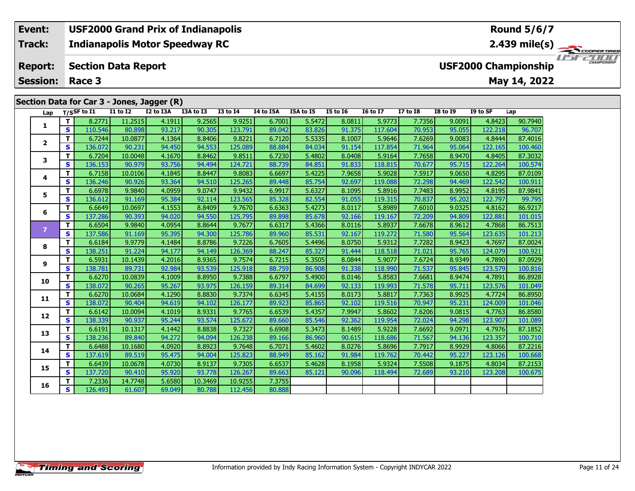### **Indianapolis Motor Speedway RC Section Data Report Event: USF2000 Grand Prix of Indianapolis Track: Report: USF2000 Championship**

**Session: Race 3**

# **Section Data for Car 3 - Jones, Jagger (R)**

| Lap            |              | T/SSF to I1 | <b>I1 to I2</b> | I2 to I3A | I3A to I3 | <b>I3 to I4</b> | I4 to I5A | I5A to I5 | <b>I5 to 16</b> | <b>16 to 17</b> | <b>I7 to I8</b> | <b>I8 to I9</b> | I9 to SF | Lap     |
|----------------|--------------|-------------|-----------------|-----------|-----------|-----------------|-----------|-----------|-----------------|-----------------|-----------------|-----------------|----------|---------|
|                | T.           | 8.2771      | 11.2515         | 4.1911    | 9.2565    | 9.9251          | 6.7001    | 5.5472    | 8.0811          | 5.9773          | 7.7356          | 9.0091          | 4.8423   | 90.7940 |
| 1              | $\mathbf{s}$ | 110.546     | 80.898          | 93.217    | 90.305    | 123.791         | 89.042    | 83.826    | 91.375          | 117.604         | 70.953          | 95.055          | 122.218  | 96.707  |
| $\mathbf{2}$   | T.           | 6.7244      | 10.0877         | 4.1364    | 8.8406    | 9.8221          | 6.7120    | 5.5335    | 8.1007          | 5.9646          | 7.6269          | 9.0083          | 4.8444   | 87,4016 |
|                | S            | 136.072     | 90.231          | 94.450    | 94.553    | 125.089         | 88.884    | 84.034    | 91.154          | 117.854         | 71.964          | 95.064          | 122.165  | 100.460 |
| 3              | T.           | 6.7204      | 10.0048         | 4.1670    | 8.8462    | 9.8511          | 6.7230    | 5.4802    | 8.0408          | 5.9164          | 7.7658          | 8.9470          | 4.8405   | 87.3032 |
|                | $\mathbf{s}$ | 136.153     | 90.979          | 93.756    | 94.494    | 124.721         | 88.739    | 84.851    | 91.833          | 118.815         | 70.677          | 95.715          | 122.264  | 100.574 |
| 4              | T.           | 6.7158      | 10.0106         | 4.1845    | 8.8447    | 9.8083          | 6.6697    | 5.4225    | 7.9658          | 5.9028          | 7.5917          | 9.0650          | 4.8295   | 87.0109 |
|                | S            | 136.246     | 90.926          | 93.364    | 94.510    | 125.265         | 89.448    | 85.754    | 92.697          | 119.088         | 72.298          | 94.469          | 122.542  | 100.911 |
| 5.             | T.           | 6.6978      | 9.9840          | 4.0959    | 9.0747    | 9.9432          | 6.9917    | 5.6327    | 8.1095          | 5.8916          | 7.7483          | 8.9952          | 4.8195   | 87.9841 |
|                | $\mathbf{s}$ | 136.612     | 91.169          | 95.384    | 92.114    | 123.565         | 85.328    | 82.554    | 91.055          | 119.315         | 70.837          | 95.202          | 122.797  | 99.795  |
| 6              | T.           | 6.6649      | 10.0697         | 4.1553    | 8.8409    | 9.7670          | 6.6363    | 5.4273    | 8.0117          | 5.8989          | 7.6010          | 9.0325          | 4.8162   | 86.9217 |
|                | $\mathbf{s}$ | 137.286     | 90.393          | 94.020    | 94.550    | 125.795         | 89.898    | 85.678    | 92.166          | 119.167         | 72.209          | 94.809          | 122.881  | 101.015 |
| $\overline{z}$ | T.           | 6.6504      | 9.9840          | 4.0954    | 8.8644    | 9.7677          | 6.6317    | 5.4366    | 8.0116          | 5.8937          | 7.6678          | 8.9612          | 4.7868   | 86.7513 |
|                | S            | 137.586     | 91.169          | 95.395    | 94.300    | 125.786         | 89.960    | 85.531    | 92.167          | 119.272         | 71.580          | 95.564          | 123.635  | 101.213 |
| 8              | T.           | 6.6184      | 9.9779          | 4.1484    | 8.8786    | 9.7226          | 6.7605    | 5.4496    | 8.0750          | 5.9312          | 7.7282          | 8.9423          | 4.7697   | 87.0024 |
|                | S            | 138.251     | 91.224          | 94.177    | 94.149    | 126.369         | 88.247    | 85.327    | 91.444          | 118.518         | 71.021          | 95.765          | 124.079  | 100.921 |
| 9              | T.           | 6.5931      | 10.1439         | 4.2016    | 8.9365    | 9.7574          | 6.7215    | 5.3505    | 8.0844          | 5.9077          | 7.6724          | 8.9349          | 4.7890   | 87.0929 |
|                | S            | 138.781     | 89.731          | 92.984    | 93.539    | 125.918         | 88.759    | 86.908    | 91.338          | 118.990         | 71.537          | 95.845          | 123.579  | 100.816 |
| 10             | T.           | 6.6270      | 10.0839         | 4.1009    | 8.8950    | 9.7388          | 6.6797    | 5.4900    | 8.0146          | 5.8583          | 7.6681          | 8.9474          | 4.7891   | 86.8928 |
|                | S            | 138.072     | 90.265          | 95.267    | 93.975    | 126.159         | 89.314    | 84.699    | 92.133          | 119.993         | 71.578          | 95.711          | 123.576  | 101.049 |
| 11             | T.           | 6.6270      | 10.0684         | 4.1290    | 8.8830    | 9.7374          | 6.6345    | 5.4155    | 8.0173          | 5.8817          | 7.7363          | 8.9925          | 4.7724   | 86.8950 |
|                | $\mathbf{s}$ | 138.072     | 90.404          | 94.619    | 94.102    | 126.177         | 89.923    | 85.865    | 92.102          | 119.516         | 70.947          | 95.231          | 124.009  | 101.046 |
| 12             | T.           | 6.6142      | 10.0094         | 4.1019    | 8.9331    | 9.7765          | 6.6539    | 5.4357    | 7.9947          | 5.8602          | 7.6206          | 9.0815          | 4.7763   | 86.8580 |
|                | S            | 138.339     | 90.937          | 95.244    | 93.574    | 125.672         | 89.660    | 85.546    | 92.362          | 119.954         | 72.024          | 94.298          | 123.907  | 101.089 |
| 13             | T.           | 6.6191      | 10.1317         | 4.1442    | 8.8838    | 9.7327          | 6.6908    | 5.3473    | 8.1489          | 5.9228          | 7.6692          | 9.0971          | 4.7976   | 87.1852 |
|                | $\mathbf{s}$ | 138.236     | 89.840          | 94.272    | 94.094    | 126.238         | 89.166    | 86.960    | 90.615          | 118.686         | 71.567          | 94.136          | 123.357  | 100.710 |
| 14             | T.           | 6.6488      | 10.1680         | 4.0920    | 8.8923    | 9.7648          | 6.7071    | 5.4602    | 8.0276          | 5.8696          | 7.7917          | 8.9929          | 4.8066   | 87.2216 |
|                | $\mathbf{s}$ | 137.619     | 89.519          | 95.475    | 94.004    | 125.823         | 88.949    | 85.162    | 91.984          | 119.762         | 70.442          | 95.227          | 123.126  | 100.668 |
| 15             | T.           | 6.6439      | 10.0678         | 4.0730    | 8.9137    | 9.7305          | 6.6537    | 5.4628    | 8.1958          | 5.9324          | 7.5508          | 9.1875          | 4.8034   | 87.2153 |
|                | $\mathbf{s}$ | 137.720     | 90.410          | 95.920    | 93.778    | 126.267         | 89.663    | 85.121    | 90.096          | 118.494         | 72.689          | 93.210          | 123.208  | 100.675 |
| 16             | T.           | 7.2336      | 14.7748         | 5.6580    | 10.3469   | 10.9255         | 7.3755    |           |                 |                 |                 |                 |          |         |
|                | S            | 126.493     | 61.607          | 69.049    | 80.788    | 112.456         | 80.888    |           |                 |                 |                 |                 |          |         |



**2.439 mile(s)**

**May 14, 2022**

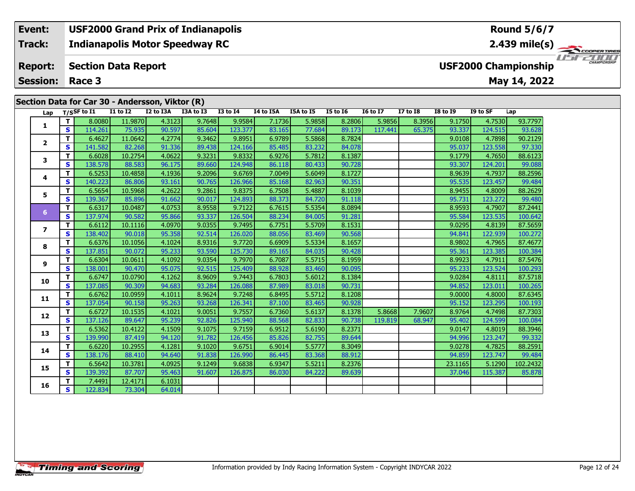**Indianapolis Motor Speedway RC Track:**

#### **Section Data Report Report:**

**Session:Race 3**

### **Lap T/SSF to I1 I1 to I2 I2 to I3A I3A to I3 I3 to I4 I4 to I5A I5A to I5 I5 to I6 I6 to I7 I7 to I8 I8 to I9 I9 to SF Lap 1 <sup>T</sup>** 8.0080 11.9870 4.3123 9.7648 9.9584 7.1736 5.9858 8.2806 5.9856 8.3956 9.1750 4.7530 93.7797 **<sup>S</sup>** 114.261 75.935 90.597 85.604 123.377 83.165 77.684 89.173 117.441 65.375 93.337 124.515 93.628**2 <sup>T</sup>** 6.4627 11.0642 4.2774 9.3462 9.8951 6.9789 5.5868 8.7824 9.0108 4.7898 90.2129 **<sup>S</sup>** 141.582 82.268 91.336 89.438 124.166 85.485 83.232 84.078 95.037 123.558 97.330**3 <sup>T</sup>** 6.6028 10.2754 4.0622 9.3231 9.8332 6.9276 5.7812 8.1387 9.1779 4.7650 88.6123 **<sup>S</sup>** 138.578 88.583 96.175 89.660 124.948 86.118 80.433 90.728 93.307 124.201 99.088**4 <sup>T</sup>** 6.5253 10.4858 4.1936 9.2096 9.6769 7.0049 5.6049 8.1727 8.9639 4.7937 88.2596 **<sup>S</sup>** 140.223 86.806 93.161 90.765 126.966 85.168 82.963 90.351 95.535 123.457 99.48499.484 **5 <sup>T</sup>** 6.5654 10.5968 4.2622 9.2861 9.8375 6.7508 5.4887 8.1039 8.9455 4.8009 88.2629 **<sup>S</sup>** 139.367 85.896 91.662 90.017 124.893 88.373 84.720 91.118 95.731 123.272 99.480**6 <sup>T</sup>** 6.6317 10.0487 4.0753 8.9558 9.7122 6.7615 5.5354 8.0894 8.9593 4.7907 87.2441 **<sup>S</sup>** 137.974 90.582 95.866 93.337 126.504 88.234 84.005 91.281 95.584 123.535 100.642**7 <sup>T</sup>** 6.6112 10.1116 4.0970 9.0355 9.7495 6.7751 5.5709 8.1531 9.0295 4.8139 87.5659 **<sup>S</sup>** 138.402 90.018 95.358 92.514 126.020 88.056 83.469 90.568 94.841 122.939 100.272**8 <sup>T</sup>** 6.6376 10.1056 4.1024 8.9316 9.7720 6.6909 5.5334 8.1657 8.9802 4.7965 87.4677 **<sup>S</sup>** 137.851 90.072 95.233 93.590 125.730 89.165 84.035 90.428 95.361 123.385 100.384**9 <sup>T</sup>** 6.6304 10.0611 4.1092 9.0354 9.7970 6.7087 5.5715 8.1959 8.9923 4.7911 87.5476 **<sup>S</sup>** 138.001 90.470 95.075 92.515 125.409 88.928 83.460 90.095 95.233 123.524 100.293**10 <sup>T</sup>** 6.6747 10.0790 4.1262 8.9609 9.7443 6.7803 5.6012 8.1384 9.0284 4.8111 87.5718 **<sup>S</sup>** 137.085 90.309 94.683 93.284 126.088 87.989 83.018 90.731 94.852 123.011 100.265**11 <sup>T</sup>** 6.6762 10.0959 4.1011 8.9624 9.7248 6.8495 5.5712 8.1208 9.0000 4.8000 87.6345 **<sup>S</sup>** 137.054 90.158 95.263 93.268 126.341 87.100 83.465 90.928 95.152 123.295 100.193**12 <sup>T</sup>** 6.6727 10.1535 4.1021 9.0051 9.7557 6.7360 5.6137 8.1378 5.8668 7.9607 8.9764 4.7498 87.7303 **<sup>S</sup>** 137.126 89.647 95.239 92.826 125.940 88.568 82.833 90.738 119.819 68.947 95.402 124.599 100.084**13 <sup>T</sup>** 6.5362 10.4122 4.1509 9.1075 9.7159 6.9512 5.6190 8.2371 9.0147 4.8019 88.3946 **<sup>S</sup>** 139.990 87.419 94.120 91.782 126.456 85.826 82.755 89.644 94.996 123.247 99.332**14 <sup>T</sup>** 6.6220 10.2955 4.1281 9.1020 9.6751 6.9014 5.5777 8.3049 9.0278 4.7825 88.2591 **<sup>S</sup>** 138.176 88.410 94.640 91.838 126.990 86.445 83.368 88.912 94.859 123.747 99.484**15 <sup>T</sup>** 6.5642 10.3781 4.0925 9.1249 9.6838 6.9347 5.5211 8.2376 23.1165 5.1290 102.2432 **<sup>S</sup>** 139.392 87.707 95.463 91.607 126.875 86.030 84.222 89.639 37.046 115.387 85.878**16 <sup>T</sup>** 7.4491 12.4171 6.1031 **<sup>S</sup>** 122.834 73.304 64.014**Section Data for Car 30 - Andersson, Viktor (R)**



**USF2000 Championship**

**Round 5/6/7**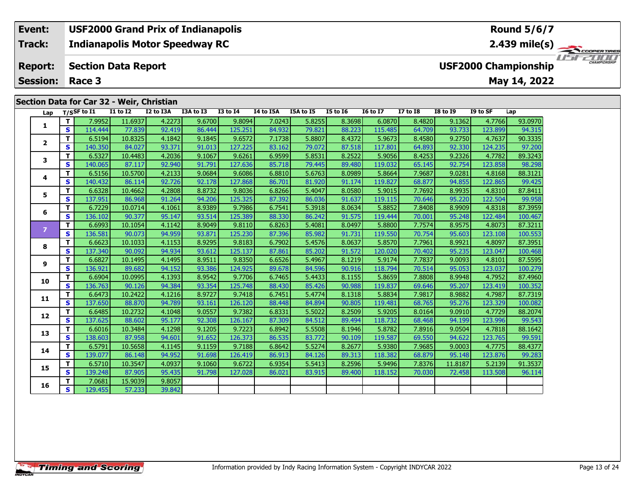### **Section Data for Car 32 - Weir, Christian**

| Lap            |              | $T/S$ SF to I1 | <b>I1 to I2</b> | I2 to I3A | I3A to I3 | <b>I3 to I4</b> | I4 to I5A | I5A to I5 | <b>I5 to 16</b> | <b>16 to 17</b> | <b>I7 to I8</b> | $18$ to $19$ | I9 to SF | Lap     |
|----------------|--------------|----------------|-----------------|-----------|-----------|-----------------|-----------|-----------|-----------------|-----------------|-----------------|--------------|----------|---------|
| 1              | T.           | 7.9952         | 11.6937         | 4.2273    | 9.6700    | 9.8094          | 7.0243    | 5.8255    | 8.3698          | 6.0870          | 8.4820          | 9.1362       | 4.7766   | 93.0970 |
|                | S.           | 114.444        | 77.839          | 92.419    | 86.444    | 125.251         | 84.932    | 79.821    | 88.223          | 115.485         | 64.709          | 93.733       | 123.899  | 94.315  |
| $\overline{2}$ | T.           | 6.5194         | 10.8325         | 4.1842    | 9.1845    | 9.6572          | 7.1738    | 5.8807    | 8.4372          | 5.9673          | 8.4580          | 9.2750       | 4.7637   | 90.3335 |
|                | S            | 140.350        | 84.027          | 93.371    | 91.013    | 127.225         | 83.162    | 79.072    | 87.518          | 117.801         | 64.893          | 92.330       | 124.235  | 97.200  |
| 3              | T.           | 6.5327         | 10.4483         | 4.2036    | 9.1067    | 9.6261          | 6.9599    | 5.8531    | 8.2522          | 5.9056          | 8.4253          | 9.2326       | 4.7782   | 89.3243 |
|                | S            | 140.065        | 87.117          | 92.940    | 91.791    | 127.636         | 85.718    | 79.445    | 89.480          | 119.032         | 65.145          | 92.754       | 123.858  | 98.298  |
| 4              | T.           | 6.5156         | 10.5700         | 4.2133    | 9.0684    | 9.6086          | 6.8810    | 5.6763    | 8.0989          | 5.8664          | 7.9687          | 9.0281       | 4.8168   | 88.3121 |
|                | S            | 140.432        | 86.114          | 92.726    | 92.178    | 127.868         | 86.701    | 81.920    | 91.174          | 119,827         | 68.877          | 94.855       | 122.865  | 99.425  |
| 5              | T.           | 6.6328         | 10.4662         | 4.2808    | 8.8732    | 9.8036          | 6.8266    | 5.4047    | 8.0580          | 5.9015          | 7.7692          | 8.9935       | 4.8310   | 87.8411 |
|                | S            | 137.951        | 86.968          | 91.264    | 94.206    | 125.325         | 87.392    | 86.036    | 91.637          | 119.115         | 70.646          | 95.220       | 122.504  | 99.958  |
| 6              | T.           | 6.7229         | 10.0714         | 4.1061    | 8.9389    | 9.7986          | 6.7541    | 5.3918    | 8.0634          | 5.8852          | 7.8408          | 8.9909       | 4.8318   | 87.3959 |
|                | S            | 136.102        | 90.377          | 95.147    | 93.514    | 125.389         | 88.330    | 86.242    | 91.575          | 119.444         | 70.001          | 95.248       | 122.484  | 100.467 |
| $\overline{z}$ | T            | 6.6993         | 10.1054         | 4.1142    | 8.9049    | 9.8110          | 6.8263    | 5.4081    | 8.0497          | 5.8800          | 7.7574          | 8.9575       | 4.8073   | 87.3211 |
|                | S            | 136.581        | 90.073          | 94.959    | 93.871    | 125.230         | 87.396    | 85.982    | 91.731          | 119.550         | 70.754          | 95.603       | 123.108  | 100.553 |
| 8              | T.           | 6.6623         | 10.1033         | 4.1153    | 8.9295    | 9.8183          | 6.7902    | 5.4576    | 8.0637          | 5.8570          | 7.7961          | 8.9921       | 4.8097   | 87.3951 |
|                | S            | 137.340        | 90.092          | 94.934    | 93.612    | 125.137         | 87.861    | 85.202    | 91.572          | 120.020         | 70.402          | 95.235       | 123.047  | 100.468 |
| 9              | T.           | 6.6827         | 10.1495         | 4.1495    | 8.9511    | 9.8350          | 6.6526    | 5.4967    | 8.1219          | 5.9174          | 7.7837          | 9.0093       | 4.8101   | 87.5595 |
|                | $\mathbf{s}$ | 136.921        | 89.682          | 94.152    | 93.386    | 124.925         | 89.678    | 84.596    | 90.916          | 118.794         | 70.514          | 95.053       | 123.037  | 100.279 |
| 10             | T            | 6.6904         | 10.0995         | 4.1393    | 8.9542    | 9.7706          | 6.7465    | 5.4433    | 8.1155          | 5.8659          | 7.8808          | 8.9948       | 4.7952   | 87.4960 |
|                | $\mathbf{s}$ | 136.763        | 90.126          | 94.384    | 93.354    | 125.748         | 88.430    | 85.426    | 90.988          | 119.837         | 69.646          | 95.207       | 123.419  | 100.352 |
| 11             | T            | 6.6473         | 10.2422         | 4.1216    | 8.9727    | 9.7418          | 6.7451    | 5.4774    | 8.1318          | 5.8834          | 7.9817          | 8.9882       | 4.7987   | 87.7319 |
|                | S            | 137.650        | 88.870          | 94.789    | 93.161    | 126.120         | 88.448    | 84.894    | 90.805          | 119.481         | 68.765          | 95.276       | 123.329  | 100.082 |
| 12             | T            | 6.6485         | 10.2732         | 4.1048    | 9.0557    | 9.7382          | 6.8331    | 5.5022    | 8.2509          | 5.9205          | 8.0164          | 9.0910       | 4.7729   | 88.2074 |
|                | $\mathbf{s}$ | 137.625        | 88.602          | 95.177    | 92.308    | 126.167         | 87.309    | 84.512    | 89.494          | 118.732         | 68.468          | 94.199       | 123.996  | 99.543  |
| 13             | T.           | 6.6016         | 10.3484         | 4.1298    | 9.1205    | 9.7223          | 6.8942    | 5.5508    | 8.1946          | 5.8782          | 7.8916          | 9.0504       | 4.7818   | 88.1642 |
|                | S            | 138.603        | 87.958          | 94.601    | 91.652    | 126.373         | 86.535    | 83.772    | 90.109          | 119.587         | 69.550          | 94.622       | 123.765  | 99.591  |
| 14             | T.           | 6.5791         | 10.5658         | 4.1145    | 9.1159    | 9.7188          | 6.8642    | 5.5274    | 8.2677          | 5.9380          | 7.9685          | 9.0003       | 4.7775   | 88.4377 |
|                | $\mathbf{s}$ | 139.077        | 86.148          | 94.952    | 91.698    | 126.419         | 86.913    | 84.126    | 89.313          | 118.382         | 68.879          | 95.148       | 123.876  | 99.283  |
| 15             | T.           | 6.5710         | 10.3547         | 4.0937    | 9.1060    | 9.6722          | 6.9354    | 5.5413    | 8.2596          | 5.9496          | 7.8376          | 11.8187      | 5.2139   | 91.3537 |
|                | S            | 139.248        | 87.905          | 95.435    | 91.798    | 127.028         | 86.021    | 83.915    | 89.400          | 118.152         | 70.030          | 72.458       | 113.508  | 96.114  |
| 16             | T            | 7.0681         | 15.9039         | 9.8057    |           |                 |           |           |                 |                 |                 |              |          |         |
|                | S            | 129.455        | 57.233          | 39.842    |           |                 |           |           |                 |                 |                 |              |          |         |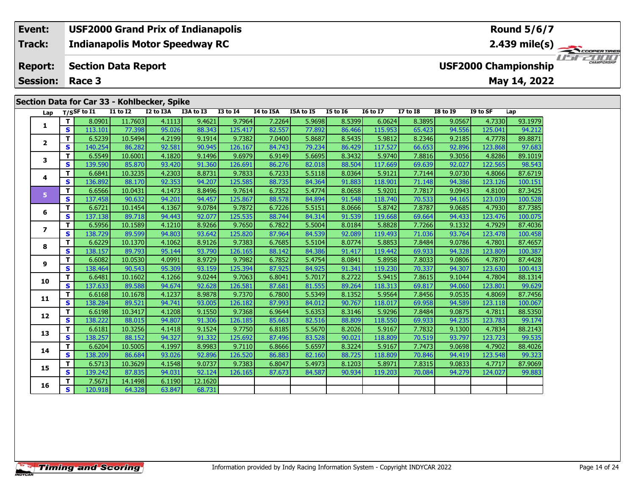### **Lap T/SSF to I1 I1 to I2 I2 to I3A I3A to I3 I3 to I4 I4 to I5A I5A to I5 I5 to I6 I6 to I7 I7 to I8 I8 to I9 I9 to SF Lap 1 <sup>T</sup>** 8.0901 11.7603 4.1113 9.4621 9.7964 7.2264 5.9698 8.5399 6.0624 8.3895 9.0567 4.7330 93.1979 **<sup>S</sup>** 113.101 77.398 95.026 88.343 125.417 82.557 77.892 86.466 115.953 65.423 94.556 125.041 94.212**2 <sup>T</sup>** 6.5239 10.5494 4.2199 9.1914 9.7382 7.0400 5.8687 8.5435 5.9812 8.2346 9.2185 4.7778 89.8871 **<sup>S</sup>** 140.254 86.282 92.581 90.945 126.167 84.743 79.234 86.429 117.527 66.653 92.896 123.868 97.683**3 <sup>T</sup>** 6.5549 10.6001 4.1820 9.1496 9.6979 6.9149 5.6695 8.3432 5.9740 7.8816 9.3056 4.8286 89.1019 **<sup>S</sup>** 139.590 85.870 93.420 91.360 126.691 86.276 82.018 88.504 117.669 69.639 92.027 122.565 98.543**4 <sup>T</sup>** 6.6841 10.3235 4.2303 8.8731 9.7833 6.7233 5.5118 8.0364 5.9121 7.7144 9.0730 4.8066 87.6719 **<sup>S</sup>** 136.892 88.170 92.353 94.207 125.585 88.735 84.364 91.883 118.901 71.148 94.386 123.126 100.151**5 <sup>T</sup>** 6.6566 10.0431 4.1473 8.8496 9.7614 6.7352 5.4774 8.0658 5.9201 7.7817 9.0943 4.8100 87.3425 **<sup>S</sup>** 137.458 90.632 94.201 94.457 125.867 88.578 84.894 91.548 118.740 70.533 94.165 123.039 100.528**6 <sup>T</sup>** 6.6721 10.1454 4.1367 9.0784 9.7872 6.7226 5.5151 8.0666 5.8742 7.8787 9.0685 4.7930 87.7385 **<sup>S</sup>** 137.138 89.718 94.443 92.077 125.535 88.744 84.314 91.539 119.668 69.664 94.433 123.476 100.075**7 <sup>T</sup>** 6.5956 10.1589 4.1210 8.9266 9.7650 6.7822 5.5004 8.0184 5.8828 7.7266 9.1332 4.7929 87.4036 **<sup>S</sup>** 138.729 89.599 94.803 93.642 125.820 87.964 84.539 92.089 119.493 71.036 93.764 123.478 100.458**8 <sup>T</sup>** 6.6229 10.1370 4.1062 8.9126 9.7383 6.7685 5.5104 8.0774 5.8853 7.8484 9.0786 4.7801 87.4657 **<sup>S</sup>** 138.157 89.793 95.144 93.790 126.165 88.142 84.386 91.417 119.442 69.933 94.328 123.809 100.387**9 <sup>T</sup>** 6.6082 10.0530 4.0991 8.9729 9.7982 6.7852 5.4754 8.0841 5.8958 7.8033 9.0806 4.7870 87.4428 **<sup>S</sup>** 138.464 90.543 95.309 93.159 125.394 87.925 84.925 91.341 119.230 70.337 94.307 123.630 100.413**10 <sup>T</sup>** 6.6481 10.1602 4.1266 9.0244 9.7063 6.8041 5.7017 8.2722 5.9415 7.8615 9.1044 4.7804 88.1314 **<sup>S</sup>** 137.633 89.588 94.674 92.628 126.581 87.681 81.555 89.264 118.313 69.817 94.060 123.801 99.629**11 <sup>T</sup>** 6.6168 10.1678 4.1237 8.9878 9.7370 6.7800 5.5349 8.1352 5.9564 7.8456 9.0535 4.8069 87.7456 **<sup>S</sup>** 138.284 89.521 94.741 93.005 126.182 87.993 84.012 90.767 118.017 69.958 94.589 123.118 100.067**12 <sup>T</sup>** 6.6198 10.3417 4.1208 9.1550 9.7368 6.9644 5.6353 8.3146 5.9296 7.8484 9.0875 4.7811 88.5350 **<sup>S</sup>** 138.222 88.015 94.807 91.306 126.185 85.663 82.516 88.809 118.550 69.933 94.235 123.783 99.174**13 <sup>T</sup>** 6.6181 10.3256 4.1418 9.1524 9.7750 6.8185 5.5670 8.2026 5.9167 7.7832 9.1300 4.7834 88.2143 **<sup>S</sup>** 138.257 88.152 94.327 91.332 125.692 87.496 83.528 90.021 118.809 70.519 93.797 123.723 99.535**14 <sup>T</sup>** 6.6204 10.5005 4.1997 8.9983 9.7110 6.8666 5.6597 8.3224 5.9167 7.7473 9.0698 4.7902 88.4026 **<sup>S</sup>** 138.209 86.684 93.026 92.896 126.520 86.883 82.160 88.725 118.809 70.846 94.419 123.548 99.323**15 <sup>T</sup>** 6.5713 10.3629 4.1548 9.0737 9.7383 6.8047 5.4973 8.1203 5.8971 7.8315 9.0833 4.7717 87.9069 **<sup>S</sup>** 139.242 87.835 94.031 92.124 126.165 87.673 84.587 90.934 119.203 70.084 94.279 124.027 99.883**Section Data for Car 33 - Kohlbecker, Spike**

**<sup>T</sup>** 7.5671 14.1498 6.1190 12.1620 **<sup>S</sup>** 120.918 64.328 63.847 68.731

**16**

100.151

11515211111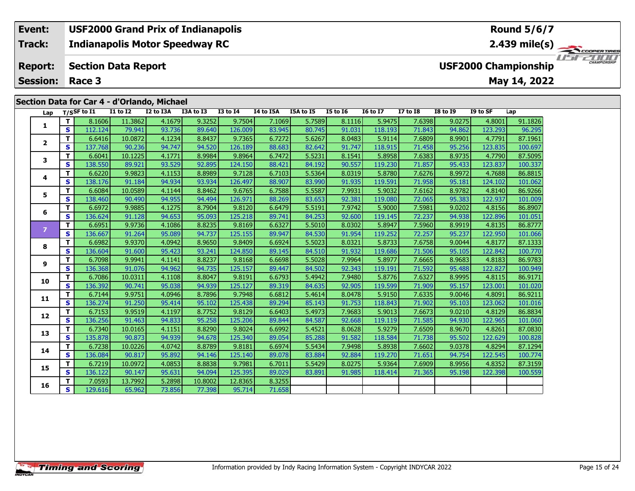#### **Event: USF2000 Grand Prix of Indianapolis Round 5/6/7Indianapolis Motor Speedway RC 2.439 mile(s) Track:** COOPERTIRES USFZUUD **Report: USF2000 Championship Section Data Report May 14, 2022 Session: Race 3**

### **Section Data for Car 4 - d'Orlando, Michael**

| Lap            |              | $T/S$ SF to I1 | <b>I1 to I2</b> | I2 to I3A | I3A to I3 | <b>I3 to I4</b> | I4 to I5A | <b>I5A to I5</b> | <b>I5 to 16</b> | <b>16 to 17</b> | <b>I7 to I8</b> | <b>I8 to I9</b> | I9 to SF | Lap     |
|----------------|--------------|----------------|-----------------|-----------|-----------|-----------------|-----------|------------------|-----------------|-----------------|-----------------|-----------------|----------|---------|
|                | T.           | 8.1606         | 11.3862         | 4.1679    | 9.3252    | 9.7504          | 7.1069    | 5.7589           | 8.1116          | 5.9475          | 7.6398          | 9.0275          | 4.8001   | 91.1826 |
| 1              | S            | 112.124        | 79.941          | 93.736    | 89.640    | 126.009         | 83.945    | 80.745           | 91.031          | 118.193         | 71.843          | 94.862          | 123.293  | 96.295  |
| $\mathbf{2}$   | T.           | 6.6416         | 10.0872         | 4.1234    | 8.8437    | 9.7365          | 6.7272    | 5.6267           | 8.0483          | 5.9114          | 7.6809          | 8.9901          | 4.7791   | 87.1961 |
|                | S            | 137.768        | 90.236          | 94.747    | 94.520    | 126.189         | 88.683    | 82.642           | 91.747          | 118.915         | 71.458          | 95.256          | 123.835  | 100.697 |
| 3              | T.           | 6.6041         | 10.1225         | 4.1771    | 8.9984    | 9.8964          | 6.7472    | 5.5231           | 8.1541          | 5.8958          | 7.6383          | 8.9735          | 4.7790   | 87.5095 |
|                | S            | 138.550        | 89.921          | 93.529    | 92.895    | 124.150         | 88.421    | 84.192           | 90.557          | 119.230         | 71.857          | 95.433          | 123.837  | 100.337 |
| 4              | T.           | 6.6220         | 9.9823          | 4.1153    | 8.8989    | 9.7128          | 6.7103    | 5.5364           | 8.0319          | 5.8780          | 7.6276          | 8.9972          | 4.7688   | 86.8815 |
|                | S            | 138.176        | 91.184          | 94.934    | 93.934    | 126.497         | 88.907    | 83.990           | 91.935          | 119.591         | 71.958          | 95.181          | 124.102  | 101.062 |
| 5              | T.           | 6.6084         | 10.0589         | 4.1144    | 8.8462    | 9.6765          | 6.7588    | 5.5587           | 7.9931          | 5.9032          | 7.6162          | 8.9782          | 4.8140   | 86.9266 |
|                | $\mathbf{s}$ | 138.460        | 90.490          | 94.955    | 94.494    | 126.971         | 88.269    | 83.653           | 92.381          | 119.080         | 72.065          | 95.383          | 122.937  | 101.009 |
| 6              | T.           | 6.6972         | 9.9885          | 4.1275    | 8.7904    | 9.8120          | 6.6479    | 5.5191           | 7.9742          | 5.9000          | 7.5981          | 9.0202          | 4.8156   | 86.8907 |
|                | S            | 136.624        | 91.128          | 94.653    | 95.093    | 125.218         | 89.741    | 84.253           | 92.600          | 119.145         | 72.237          | 94.938          | 122.896  | 101.051 |
| $\overline{7}$ | T.           | 6.6951         | 9.9736          | 4.1086    | 8.8235    | 9.8169          | 6.6327    | 5.5010           | 8.0302          | 5.8947          | 7.5960          | 8.9919          | 4.8135   | 86.8777 |
|                | <b>S</b>     | 136.667        | 91.264          | 95.089    | 94.737    | 125.155         | 89.947    | 84.530           | 91.954          | 119.252         | 72.257          | 95.237          | 122.950  | 101.066 |
| 8              | T.           | 6.6982         | 9.9370          | 4.0942    | 8.9650    | 9.8409          | 6.6924    | 5.5023           | 8.0321          | 5.8733          | 7.6758          | 9.0044          | 4.8177   | 87.1333 |
|                | $\mathbf{s}$ | 136.604        | 91.600          | 95.423    | 93.241    | 124.850         | 89.145    | 84.510           | 91.932          | 119.686         | 71.506          | 95.105          | 122.842  | 100.770 |
| 9              | T.           | 6.7098         | 9.9941          | 4.1141    | 8.8237    | 9.8168          | 6.6698    | 5.5028           | 7.9964          | 5.8977          | 7.6665          | 8.9683          | 4.8183   | 86.9783 |
|                | $\mathbf{s}$ | 136.368        | 91.076          | 94.962    | 94.735    | 125.157         | 89.447    | 84.502           | 92.343          | 119.191         | 71.592          | 95.488          | 122.827  | 100.949 |
| 10             | T.           | 6.7086         | 10.0311         | 4.1108    | 8.8047    | 9.8191          | 6.6793    | 5.4942           | 7.9480          | 5.8776          | 7.6327          | 8.9995          | 4.8115   | 86.9171 |
|                | $\mathbf{s}$ | 136.392        | 90.741          | 95.038    | 94.939    | 125.127         | 89.319    | 84.635           | 92.905          | 119.599         | 71.909          | 95.157          | 123.001  | 101.020 |
| 11             | T.           | 6.7144         | 9.9751          | 4.0946    | 8.7896    | 9.7948          | 6.6812    | 5.4614           | 8.0478          | 5.9150          | 7.6335          | 9.0046          | 4.8091   | 86.9211 |
|                | $\mathbf{s}$ | 136.274        | 91.250          | 95.414    | 95.102    | 125.438         | 89.294    | 85.143           | 91.753          | 118.843         | 71.902          | 95.103          | 123.062  | 101.016 |
| 12             | T.           | 6.7153         | 9.9519          | 4.1197    | 8.7752    | 9.8129          | 6.6403    | 5.4973           | 7.9683          | 5.9013          | 7.6673          | 9.0210          | 4.8129   | 86.8834 |
|                | $\mathbf{s}$ | 136.256        | 91.463          | 94.833    | 95.258    | 125.206         | 89.844    | 84.587           | 92.668          | 119.119         | 71.585          | 94.930          | 122.965  | 101.060 |
| 13             | T            | 6.7340         | 10.0165         | 4.1151    | 8.8290    | 9.8024          | 6.6992    | 5.4521           | 8.0628          | 5.9279          | 7.6509          | 8.9670          | 4.8261   | 87.0830 |
|                | S            | 135.878        | 90.873          | 94.939    | 94.678    | 125.340         | 89.054    | 85.288           | 91.582          | 118.584         | 71.738          | 95.502          | 122.629  | 100.828 |
| 14             | T.           | 6.7238         | 10.0226         | 4.0742    | 8.8789    | 9.8181          | 6.6974    | 5.5434           | 7.9498          | 5.8938          | 7.6602          | 9.0378          | 4.8294   | 87.1294 |
|                | $\mathbf{s}$ | 136.084        | 90.817          | 95.892    | 94.146    | 125.140         | 89.078    | 83.884           | 92.884          | 119.270         | 71.651          | 94.754          | 122.545  | 100.774 |
| 15             | T.           | 6.7219         | 10.0972         | 4.0853    | 8.8838    | 9.7981          | 6.7011    | 5.5429           | 8.0275          | 5.9364          | 7.6909          | 8.9956          | 4.8352   | 87.3159 |
|                | <b>S</b>     | 136.122        | 90.147          | 95.631    | 94.094    | 125.395         | 89.029    | 83.891           | 91.985          | 118.414         | 71.365          | 95.198          | 122.398  | 100.559 |
| 16             | T.           | 7.0593         | 13.7992         | 5.2898    | 10.8002   | 12.8365         | 8.3255    |                  |                 |                 |                 |                 |          |         |
|                | $\mathbf{s}$ | 129.616        | 65.962          | 73.856    | 77.398    | 95.714          | 71.658    |                  |                 |                 |                 |                 |          |         |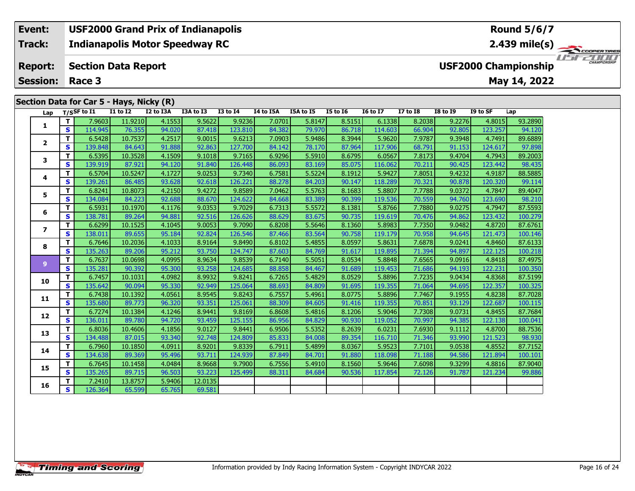**Indianapolis Motor Speedway RC Track:**

#### **Section Data Report Report:**

**Session: Race 3**

**Event:**

# **Section Data for Car 5 - Hays, Nicky (R)**

**USF2000 Championship**

 $200f$ 

USFZUUD

**PERTIRES** 

| Lap                     |                         | T/SSF to I1 | <b>I1 to I2</b> | I2 to I3A | I3A to I3 | <b>I3 to I4</b> | I4 to I5A | I5A to I5 | <b>I5 to 16</b> | <b>16 to 17</b> | <b>I7 to I8</b> | <b>I8 to I9</b> | I9 to SF | Lap     |
|-------------------------|-------------------------|-------------|-----------------|-----------|-----------|-----------------|-----------|-----------|-----------------|-----------------|-----------------|-----------------|----------|---------|
|                         | T.                      | 7.9603      | 11.9210         | 4.1553    | 9.5622    | 9.9236          | 7.0701    | 5.8147    | 8.5151          | 6.1338          | 8.2038          | 9.2276          | 4.8015   | 93.2890 |
| 1                       | $\mathbf{s}$            | 114.945     | 76.355          | 94.020    | 87.418    | 123.810         | 84.382    | 79.970    | 86.718          | 114.603         | 66.904          | 92.805          | 123.257  | 94.120  |
|                         | T                       | 6.5428      | 10.7537         | 4.2517    | 9.0015    | 9.6213          | 7.0903    | 5.9486    | 8.3944          | 5.9620          | 7.9787          | 9.3948          | 4.7491   | 89.6889 |
| $\overline{2}$          | $\mathbf{s}$            | 139.848     | 84.643          | 91.888    | 92.863    | 127.700         | 84.142    | 78.170    | 87.964          | 117.906         | 68.791          | 91.153          | 124.617  | 97.898  |
| 3                       | T                       | 6.5395      | 10.3528         | 4.1509    | 9.1018    | 9.7165          | 6.9296    | 5.5910    | 8.6795          | 6.0567          | 7.8173          | 9.4704          | 4.7943   | 89,2003 |
|                         | $\mathbf{s}$            | 139.919     | 87.921          | 94.120    | 91.840    | 126.448         | 86.093    | 83.169    | 85.075          | 116.062         | 70.211          | 90.425          | 123.442  | 98.435  |
| 4                       | T                       | 6.5704      | 10.5247         | 4.1727    | 9.0253    | 9.7340          | 6.7581    | 5.5224    | 8.1912          | 5.9427          | 7.8051          | 9.4232          | 4.9187   | 88.5885 |
|                         | $\mathbf{s}$            | 139.261     | 86.485          | 93.628    | 92.618    | 126.221         | 88.278    | 84.203    | 90.147          | 118.289         | 70.321          | 90.878          | 120.320  | 99.114  |
| 5                       | т                       | 6.8241      | 10.8073         | 4.2150    | 9.4272    | 9.8589          | 7.0462    | 5.5763    | 8.1683          | 5.8807          | 7.7788          | 9.0372          | 4.7847   | 89,4047 |
|                         | S                       | 134.084     | 84.223          | 92.688    | 88.670    | 124.622         | 84.668    | 83.389    | 90.399          | 119.536         | 70.559          | 94.760          | 123.690  | 98.210  |
| 6                       | т                       | 6.5931      | 10.1970         | 4.1176    | 9.0353    | 9.7029          | 6.7313    | 5.5572    | 8.1381          | 5.8766          | 7.7880          | 9.0275          | 4.7947   | 87.5593 |
|                         | S                       | 138.781     | 89.264          | 94.881    | 92.516    | 126.626         | 88.629    | 83.675    | 90.735          | 119.619         | 70.476          | 94.862          | 123.432  | 100.279 |
| $\overline{\mathbf{z}}$ | т                       | 6.6299      | 10.1525         | 4.1045    | 9.0053    | 9.7090          | 6.8208    | 5.5646    | 8.1360          | 5.8983          | 7.7350          | 9.0482          | 4.8720   | 87.6761 |
|                         | S                       | 138.011     | 89.655          | 95.184    | 92.824    | 126.546         | 87.466    | 83.564    | 90.758          | 119.179         | 70.958          | 94.645          | 121.473  | 100.146 |
| 8                       | T                       | 6.7646      | 10.2036         | 4.1033    | 8.9164    | 9.8490          | 6.8102    | 5.4855    | 8.0597          | 5.8631          | 7.6878          | 9.0241          | 4.8460   | 87.6133 |
|                         | S                       | 135.263     | 89.206          | 95.212    | 93.750    | 124.747         | 87.603    | 84.769    | 91.617          | 119.895         | 71.394          | 94.897          | 122.125  | 100.218 |
| 9                       | T                       | 6.7637      | 10.0698         | 4.0995    | 8.9634    | 9.8539          | 6.7140    | 5.5051    | 8.0534          | 5.8848          | 7.6565          | 9.0916          | 4.8418   | 87.4975 |
|                         | S                       | 135.281     | 90.392          | 95.300    | 93.258    | 124.685         | 88.858    | 84.467    | 91.689          | 119.453         | 71.686          | 94.193          | 122.231  | 100.350 |
| 10                      | T                       | 6.7457      | 10.1031         | 4.0982    | 8.9932    | 9.8241          | 6.7265    | 5.4829    | 8.0529          | 5.8896          | 7.7235          | 9.0434          | 4.8368   | 87.5199 |
|                         | $\overline{\mathbf{s}}$ | 135.642     | 90.094          | 95.330    | 92.949    | 125.064         | 88.693    | 84.809    | 91.695          | 119.355         | 71.064          | 94.695          | 122.357  | 100.325 |
| 11                      | т                       | 6.7438      | 10.1392         | 4.0561    | 8.9545    | 9.8243          | 6.7557    | 5.4961    | 8.0775          | 5.8896          | 7.7467          | 9.1955          | 4.8238   | 87.7028 |
|                         | S                       | 135.680     | 89.773          | 96.320    | 93.351    | 125.061         | 88.309    | 84.605    | 91.416          | 119.355         | 70.851          | 93.129          | 122.687  | 100.115 |
| 12                      | т                       | 6.7274      | 10.1384         | 4.1246    | 8.9441    | 9.8169          | 6.8608    | 5.4816    | 8.1206          | 5.9046          | 7.7308          | 9.0731          | 4.8455   | 87.7684 |
|                         | $\mathbf{s}$            | 136.011     | 89.780          | 94.720    | 93.459    | 125.155         | 86.956    | 84.829    | 90.930          | 119.052         | 70.997          | 94.385          | 122.138  | 100.041 |
| 13                      | T                       | 6.8036      | 10.4606         | 4.1856    | 9.0127    | 9.8441          | 6.9506    | 5.5352    | 8.2639          | 6.0231          | 7.6930          | 9.1112          | 4.8700   | 88.7536 |
|                         | $\mathbf{s}$            | 134.488     | 87.015          | 93.340    | 92.748    | 124.809         | 85.833    | 84.008    | 89.354          | 116.710         | 71.346          | 93.990          | 121.523  | 98.930  |
| 14                      | T.                      | 6.7960      | 10.1850         | 4.0911    | 8.9201    | 9.8339          | 6.7911    | 5.4899    | 8.0367          | 5.9523          | 7.7101          | 9.0538          | 4.8552   | 87.7152 |
|                         | $\overline{\mathbf{s}}$ | 134.638     | 89.369          | 95.496    | 93.711    | 124.939         | 87.849    | 84.701    | 91.880          | 118.098         | 71.188          | 94.586          | 121.894  | 100.101 |
| 15                      | T.                      | 6.7645      | 10.1458         | 4.0484    | 8.9668    | 9.7900          | 6.7556    | 5.4910    | 8.1560          | 5.9646          | 7.6098          | 9.3299          | 4.8816   | 87,9040 |
|                         | S                       | 135.265     | 89.715          | 96.503    | 93.223    | 125.499         | 88.311    | 84.684    | 90.536          | 117.854         | 72.126          | 91.787          | 121.234  | 99.886  |
| 16                      | т                       | 7.2410      | 13.8757         | 5.9406    | 12.0135   |                 |           |           |                 |                 |                 |                 |          |         |
|                         | S.                      | 126.364     | 65.599          | 65.765    | 69.581    |                 |           |           |                 |                 |                 |                 |          |         |

**Round 5/6/7**

**2.439 mile(s)**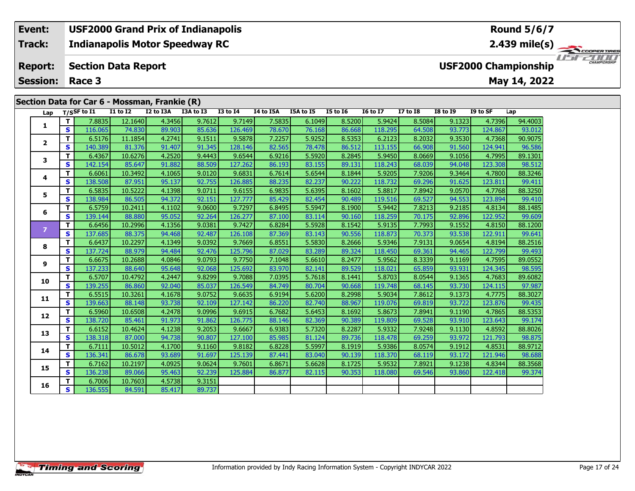#### **Indianapolis Motor Speedway RC Event: USF2000 Grand Prix of Indianapolis Track:**

#### **Section Data Report Report:**

**Session: Race 3**

### **Section Data for Car 6 - Mossman, Frankie (R)**

| Lap            |                         | T/SSF to I1 | <b>I1 to I2</b> | I2 to I3A | I3A to I3 | <b>I3 to I4</b> | I4 to I5A | I5A to I5 | <b>I5 to 16</b> | <b>16 to 17</b> | <b>I7 to I8</b> | <b>I8 to I9</b> | I9 to SF | Lap     |
|----------------|-------------------------|-------------|-----------------|-----------|-----------|-----------------|-----------|-----------|-----------------|-----------------|-----------------|-----------------|----------|---------|
|                | т                       | 7.8835      | 12.1640         | 4.3456    | 9.7612    | 9.7149          | 7.5835    | 6.1049    | 8.5200          | 5.9424          | 8.5084          | 9.1323          | 4.7396   | 94.4003 |
| 1              | $\mathbf{s}$            | 116.065     | 74.830          | 89.903    | 85.636    | 126.469         | 78.670    | 76.168    | 86.668          | 118.295         | 64.508          | 93.773          | 124.867  | 93.012  |
| $\overline{2}$ | T.                      | 6.5176      | 11.1854         | 4.2741    | 9.1511    | 9.5878          | 7.2257    | 5.9252    | 8.5353          | 6.2123          | 8.2032          | 9.3530          | 4.7368   | 90.9075 |
|                | $\mathbf{s}$            | 140.389     | 81.376          | 91.407    | 91.345    | 128.146         | 82.565    | 78.478    | 86.512          | 113.155         | 66.908          | 91.560          | 124.941  | 96.586  |
| 3              | T                       | 6.4367      | 10.6276         | 4.2520    | 9.4443    | 9.6544          | 6.9216    | 5.5920    | 8.2845          | 5.9450          | 8.0669          | 9.1056          | 4.7995   | 89.1301 |
|                | $\mathbf{s}$            | 142.154     | 85.647          | 91.882    | 88.509    | 127.262         | 86.193    | 83.155    | 89.131          | 118.243         | 68.039          | 94.048          | 123.308  | 98.512  |
| 4              | T                       | 6.6061      | 10.3492         | 4.1065    | 9.0120    | 9.6831          | 6.7614    | 5.6544    | 8.1844          | 5.9205          | 7.9206          | 9.3464          | 4.7800   | 88.3246 |
|                | S                       | 138.508     | 87.951          | 95.137    | 92.755    | 126.885         | 88.235    | 82.237    | 90.222          | 118.732         | 69.296          | 91.625          | 123.811  | 99.411  |
| 5              | т                       | 6.5835      | 10.5222         | 4.1398    | 9.0711    | 9.6155          | 6.9835    | 5.6395    | 8.1602          | 5.8817          | 7.8942          | 9.0570          | 4.7768   | 88.3250 |
|                | $\mathbf{s}$            | 138.984     | 86.505          | 94.372    | 92.151    | 127.777         | 85.429    | 82.454    | 90.489          | 119.516         | 69.527          | 94.553          | 123.894  | 99.410  |
| 6              | T.                      | 6.5759      | 10.2411         | 4.1102    | 9.0600    | 9.7297          | 6.8495    | 5.5947    | 8.1900          | 5.9442          | 7.8213          | 9.2185          | 4.8134   | 88.1485 |
|                | S                       | 139.144     | 88,880          | 95.052    | 92.264    | 126.277         | 87.100    | 83.114    | 90.160          | 118.259         | 70.175          | 92.896          | 122.952  | 99.609  |
| $\overline{ }$ | T.                      | 6.6456      | 10.2996         | 4.1356    | 9.0381    | 9.7427          | 6.8284    | 5.5928    | 8.1542          | 5.9135          | 7.7993          | 9.1552          | 4.8150   | 88.1200 |
|                | S                       | 137.685     | 88.375          | 94.468    | 92.487    | 126.108         | 87.369    | 83.143    | 90.556          | 118.873         | 70.373          | 93.538          | 122.911  | 99.641  |
| 8              | T.                      | 6.6437      | 10.2297         | 4.1349    | 9.0392    | 9.7669          | 6.8551    | 5.5830    | 8.2666          | 5.9346          | 7.9131          | 9.0654          | 4.8194   | 88.2516 |
|                | S                       | 137.724     | 88.979          | 94.484    | 92.476    | 125.796         | 87.029    | 83.289    | 89.324          | 118.450         | 69.361          | 94.465          | 122.799  | 99.493  |
| 9              | $\mathbf{T}$            | 6.6675      | 10.2688         | 4.0846    | 9.0793    | 9.7750          | 7.1048    | 5.6610    | 8.2477          | 5.9562          | 8.3339          | 9.1169          | 4.7595   | 89.0552 |
|                | $\mathbf{s}$            | 137.233     | 88.640          | 95.648    | 92.068    | 125.692         | 83.970    | 82.141    | 89.529          | 118.021         | 65.859          | 93.931          | 124.345  | 98.595  |
| 10             | $\overline{\mathsf{T}}$ | 6.5707      | 10.4792         | 4.2447    | 9.8299    | 9.7088          | 7.0395    | 5.7618    | 8.1441          | 5.8703          | 8.0544          | 9.1365          | 4.7683   | 89.6082 |
|                | $\mathbf{s}$            | 139.255     | 86.860          | 92.040    | 85.037    | 126.549         | 84.749    | 80.704    | 90.668          | 119.748         | 68.145          | 93.730          | 124.115  | 97.987  |
| 11             | T                       | 6.5515      | 10.3261         | 4.1678    | 9.0752    | 9.6635          | 6.9194    | 5.6200    | 8.2998          | 5.9034          | 7.8612          | 9.1373          | 4.7775   | 88.3027 |
|                | S                       | 139.663     | 88.148          | 93.738    | 92.109    | 127.142         | 86.220    | 82.740    | 88.967          | 119.076         | 69.819          | 93.722          | 123.876  | 99.435  |
| 12             | T.                      | 6.5960      | 10.6508         | 4.2478    | 9.0996    | 9.6915          | 6.7682    | 5.6453    | 8.1692          | 5.8673          | 7.8941          | 9.1190          | 4.7865   | 88.5353 |
|                | $\mathbf{s}$            | 138.720     | 85.461          | 91.973    | 91.862    | 126.775         | 88.146    | 82.369    | 90.389          | 119.809         | 69.528          | 93.910          | 123.643  | 99.174  |
| 13             | T.                      | 6.6152      | 10.4624         | 4.1238    | 9.2053    | 9.6667          | 6.9383    | 5.7320    | 8.2287          | 5.9332          | 7.9248          | 9.1130          | 4.8592   | 88,8026 |
|                | $\overline{\mathbf{s}}$ | 138.318     | 87.000          | 94.738    | 90.807    | 127.100         | 85.985    | 81.124    | 89.736          | 118.478         | 69.259          | 93.972          | 121.793  | 98.875  |
| 14             | $\mathbf{T}$            | 6.7111      | 10.5012         | 4.1700    | 9.1160    | 9.8182          | 6.8228    | 5.5997    | 8.1919          | 5.9386          | 8.0574          | 9.1912          | 4.8531   | 88.9712 |
|                | S                       | 136.341     | 86.678          | 93.689    | 91.697    | 125.139         | 87.441    | 83.040    | 90.139          | 118.370         | 68.119          | 93.172          | 121.946  | 98.688  |
| 15             | $\mathbf{T}$            | 6.7162      | 10.2197         | 4.0925    | 9.0624    | 9.7601          | 6.8671    | 5.6628    | 8.1725          | 5.9532          | 7.8921          | 9.1238          | 4.8344   | 88.3568 |
|                | S                       | 136.238     | 89.066          | 95.463    | 92.239    | 125.884         | 86.877    | 82.115    | 90.353          | 118.080         | 69.546          | 93.860          | 122.418  | 99.374  |
| 16             | T.                      | 6.7006      | 10.7603         | 4.5738    | 9.3151    |                 |           |           |                 |                 |                 |                 |          |         |
|                | $\mathbf{s}$            | 136.555     | 84.591          | 85.417    | 89.737    |                 |           |           |                 |                 |                 |                 |          |         |

### **Round 5/6/7**

**2.439 mile(s)**

**May 14, 2022**

**USF2000 Championship**

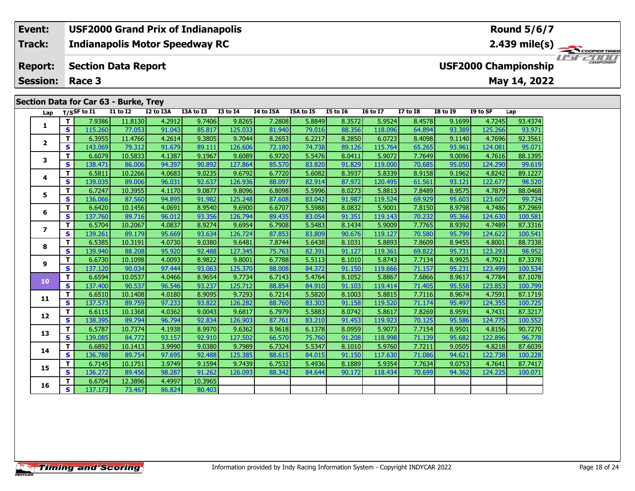#### **Event: USF2000 Grand Prix of Indianapolis Round 5/6/7Indianapolis Motor Speedway RC 2.439 mile(s) Track:** THE COOPERTIRES **Section Data Report Report: USF2000 Championship May 14, 2022 Session: Race 3 Section Data for Car 63 - Burke, Trey Lap T/SSF to I1 I1 to I2 I2 to I3A I3A to I3 I3 to I4 I4 to I5A I5A to I5 I5 to I6 I6 to I7 I7 to I8 I8 to I9 I9 to SF Lap**

| Lap            |              | $T/S$ SF to I1 | <b>I1 to I2</b> | I2 to I3A | I3A to I3 | <b>I3 to I4</b> | I4 to I5A | I5A to I5 | <b>I5 to 16</b> | <b>16 to 17</b> | <b>I7 to I8</b> | <b>I8 to I9</b> | I9 to SF | Lap     |
|----------------|--------------|----------------|-----------------|-----------|-----------|-----------------|-----------|-----------|-----------------|-----------------|-----------------|-----------------|----------|---------|
| 1              | т            | 7.9386         | 11.8130         | 4.2912    | 9.7406    | 9.8265          | 7.2808    | 5.8849    | 8.3572          | 5.9524          | 8.4578          | 9.1699          | 4.7245   | 93.4374 |
|                | $\mathbf{s}$ | 115.260        | 77.053          | 91.043    | 85.817    | 125.033         | 81.940    | 79.016    | 88.356          | 118.096         | 64.894          | 93.389          | 125.266  | 93.971  |
| $\mathbf{2}$   | $\mathbf{T}$ | 6.3955         | 11.4766         | 4.2614    | 9.3805    | 9.7044          | 8.2653    | 6.2217    | 8.2850          | 6.0723          | 8.4098          | 9.1140          | 4.7696   | 92.3561 |
|                | S            | 143.069        | 79.312          | 91.679    | 89.111    | 126.606         | 72.180    | 74.738    | 89.126          | 115.764         | 65.265          | 93.961          | 124.081  | 95.071  |
| 3              | $\mathbf T$  | 6.6079         | 10.5833         | 4.1387    | 9.1967    | 9.6089          | 6.9720    | 5.5476    | 8.0411          | 5.9072          | 7.7649          | 9.0096          | 4.7616   | 88.1395 |
|                | S            | 138.471        | 86.006          | 94.397    | 90.892    | 127.864         | 85.570    | 83.820    | 91.829          | 119.000         | 70.685          | 95.050          | 124.290  | 99.619  |
| 4              | $\mathbf T$  | 6.5811         | 10.2266         | 4.0683    | 9.0235    | 9.6792          | 6.7720    | 5.6082    | 8.3937          | 5.8339          | 8.9158          | 9.1962          | 4.8242   | 89.1227 |
|                | S            | 139.035        | 89.006          | 96.031    | 92.637    | 126.936         | 88.097    | 82.914    | 87.972          | 120.495         | 61.561          | 93.121          | 122.677  | 98.520  |
| 5              | $\mathbf{T}$ | 6.7247         | 10.3955         | 4.1170    | 9.0877    | 9.8096          | 6.8098    | 5.5996    | 8.0273          | 5.8813          | 7.8489          | 8.9575          | 4.7879   | 88.0468 |
|                | S            | 136.066        | 87.560          | 94.895    | 91.982    | 125.248         | 87.608    | 83.042    | 91.987          | 119.524         | 69.929          | 95.603          | 123.607  | 99.724  |
| 6              | $\mathbf T$  | 6.6420         | 10.1456         | 4.0691    | 8.9540    | 9.6900          | 6.6707    | 5.5988    | 8.0832          | 5.9001          | 7.8150          | 8.9798          | 4.7486   | 87.2969 |
|                | $\mathbf{s}$ | 137.760        | 89.716          | 96.012    | 93.356    | 126.794         | 89.435    | 83.054    | 91.351          | 119.143         | 70.232          | 95.366          | 124.630  | 100.581 |
| $\overline{ }$ | $\mathbf T$  | 6.5704         | 10.2067         | 4.0837    | 8.9274    | 9.6954          | 6.7908    | 5.5483    | 8.1434          | 5.9009          | 7.7765          | 8.9392          | 4.7489   | 87.3316 |
|                | S            | 139.261        | 89.179          | 95.669    | 93.634    | 126.724         | 87.853    | 83.809    | 90.676          | 119.127         | 70.580          | 95.799          | 124.622  | 100.541 |
| 8              | $\mathbf T$  | 6.5385         | 10.3191         | 4.0730    | 9.0380    | 9.6481          | 7.8744    | 5.6438    | 8.1031          | 5.8893          | 7.8609          | 8.9455          | 4.8001   | 88.7338 |
|                | S            | 139.940        | 88.208          | 95.920    | 92.488    | 127.345         | 75.763    | 82.391    | 91.127          | 119.361         | 69.822          | 95.731          | 123.293  | 98.952  |
| 9              | $\mathbf{T}$ | 6.6730         | 10.1098         | 4.0093    | 8.9822    | 9.8001          | 6.7788    | 5.5113    | 8.1010          | 5.8743          | 7.7134          | 8.9925          | 4.7921   | 87.3378 |
|                | $\mathbf{s}$ | 137.120        | 90.034          | 97.444    | 93.063    | 125.370         | 88.008    | 84.372    | 91.150          | 119.666         | 71.157          | 95.231          | 123.499  | 100.534 |
| 10             | $\mathbf T$  | 6.6594         | 10.0537         | 4.0466    | 8.9654    | 9.7734          | 6.7143    | 5.4764    | 8.1052          | 5.8867          | 7.6866          | 8.9617          | 4.7784   | 87.1078 |
|                | $\mathbf{s}$ | 137.400        | 90.537          | 96.546    | 93.237    | 125.712         | 88.854    | 84.910    | 91.103          | 119.414         | 71.405          | 95.558          | 123.853  | 100.799 |
| 11             | T            | 6.6510         | 10.1408         | 4.0180    | 8.9095    | 9.7293          | 6.7214    | 5.5820    | 8.1003          | 5.8815          | 7.7116          | 8.9674          | 4.7591   | 87.1719 |
|                | $\mathbf{s}$ | 137.573        | 89.759          | 97.233    | 93.822    | 126.282         | 88.760    | 83.303    | 91.158          | 119.520         | 71.174          | 95.497          | 124.355  | 100.725 |
| 12             | $\mathbf T$  | 6.6115         | 10.1368         | 4.0362    | 9.0043    | 9.6817          | 6.7979    | 5.5883    | 8.0742          | 5.8617          | 7.8269          | 8.9591          | 4.7431   | 87.3217 |
|                | $\mathbf{s}$ | 138.395        | 89.794          | 96.794    | 92.834    | 126.903         | 87.761    | 83.210    | 91.453          | 119.923         | 70.125          | 95.586          | 124.775  | 100.552 |
| 13             | $\mathbf{T}$ | 6.5787         | 10.7374         | 4.1938    | 8.9970    | 9.6362          | 8.9618    | 6.1378    | 8.0959          | 5.9073          | 7.7154          | 8.9501          | 4.8156   | 90.7270 |
|                | S            | 139.085        | 84.772          | 93.157    | 92.910    | 127.502         | 66.570    | 75.760    | 91.208          | 118.998         | 71.139          | 95.682          | 122.896  | 96.778  |
| 14             | $\mathbf T$  | 6.6892         | 10.1413         | 3.9990    | 9.0380    | 9.7989          | 6.7324    | 5.5347    | 8.1010          | 5.9760          | 7.7211          | 9.0505          | 4.8218   | 87.6039 |
|                | $\mathbf{s}$ | 136.788        | 89.754          | 97.695    | 92.488    | 125.385         | 88.615    | 84.015    | 91.150          | 117.630         | 71.086          | 94.621          | 122.738  | 100.228 |
| 15             | T            | 6.7145         | 10.1751         | 3.9749    | 9.1594    | 9.7439          | 6.7532    | 5.4936    | 8.1889          | 5.9354          | 7.7634          | 9.0753          | 4.7641   | 87.7417 |
|                | S            | 136.272        | 89.456          | 98.287    | 91.262    | 126.093         | 88.342    | 84.644    | 90.172          | 118.434         | 70.699          | 94.362          | 124.225  | 100.071 |
| 16             | $\mathbf{T}$ | 6.6704         | 12.3896         | 4.4997    | 10.3965   |                 |           |           |                 |                 |                 |                 |          |         |
|                | $\mathbf{s}$ | 137.173        | 73.467          | 86.824    | 80.403    |                 |           |           |                 |                 |                 |                 |          |         |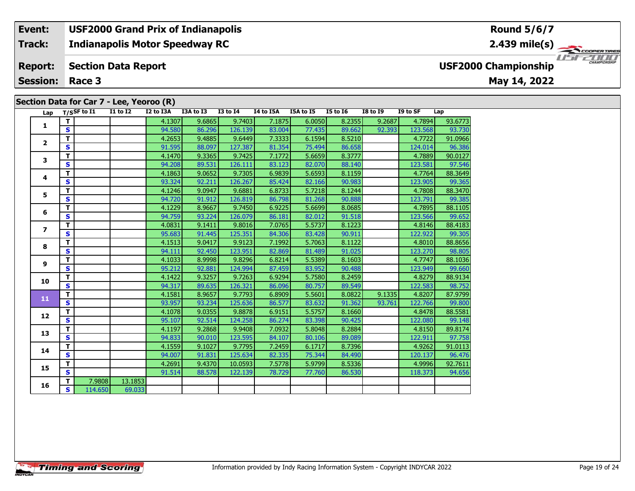**Indianapolis Motor Speedway RC Track:**

#### **Section Data Report Report:**

**Session: Race 3**

# **Section Data for Car 7 - Lee, Yeoroo (R)**

**Round 5/6/7**

**2.439 mile(s)**



**USF2000 Championship**

### **May 14, 2022**

| Lap                      |                         | $T/S$ SF to $\overline{11}$ | <b>I1 to I2</b> |         | I2 to I3A | I3A to I3 | <b>I3 to I4</b> | I4 to I5A | I5A to I5 | <b>I5 to I6</b> | <b>I8 to I9</b> | I9 to SF | Lap     |
|--------------------------|-------------------------|-----------------------------|-----------------|---------|-----------|-----------|-----------------|-----------|-----------|-----------------|-----------------|----------|---------|
| 1                        | T                       |                             |                 |         | 4.1307    | 9.6865    | 9.7403          | 7.1875    | 6.0050    | 8.2355          | 9.2687          | 4.7894   | 93.6773 |
|                          | S                       |                             |                 |         | 94.580    | 86.296    | 126.139         | 83.004    | 77.435    | 89.662          | 92.393          | 123.568  | 93.730  |
| $\mathbf{2}$             | т                       |                             |                 |         | 4.2653    | 9.4885    | 9.6449          | 7.3333    | 6.1594    | 8.5210          |                 | 4.7722   | 91.0966 |
|                          | $\mathbf{s}$            |                             |                 |         | 91.595    | 88.097    | 127.387         | 81.354    | 75.494    | 86.658          |                 | 124.014  | 96.386  |
| 3                        | т                       |                             |                 |         | 4.1470    | 9.3365    | 9.7425          | 7.1772    | 5.6659    | 8.3777          |                 | 4.7889   | 90.0127 |
|                          | S                       |                             |                 |         | 94.208    | 89.531    | 126.111         | 83.123    | 82.070    | 88.140          |                 | 123.581  | 97.546  |
| 4                        | т                       |                             |                 |         | 4.1863    | 9.0652    | 9.7305          | 6.9839    | 5.6593    | 8.1159          |                 | 4.7764   | 88.3649 |
|                          | $\mathbf{s}$            |                             |                 |         | 93.324    | 92.211    | 126.267         | 85.424    | 82.166    | 90.983          |                 | 123.905  | 99.365  |
| 5.                       | т                       |                             |                 |         | 4.1246    | 9.0947    | 9.6881          | 6.8733    | 5.7218    | 8.1244          |                 | 4.7808   | 88.3470 |
|                          | $\mathbf{s}$            |                             |                 |         | 94.720    | 91.912    | 126.819         | 86.798    | 81.268    | 90.888          |                 | 123.791  | 99.385  |
| 6                        | т                       |                             |                 |         | 4.1229    | 8.9667    | 9.7450          | 6.9225    | 5.6699    | 8.0685          |                 | 4.7895   | 88.1105 |
|                          | $\mathbf{s}$            |                             |                 |         | 94.759    | 93.224    | 126.079         | 86.181    | 82.012    | 91.518          |                 | 123.566  | 99.652  |
| $\overline{\phantom{a}}$ | т                       |                             |                 |         | 4.0831    | 9.1411    | 9.8016          | 7.0765    | 5.5737    | 8.1223          |                 | 4.8146   | 88.4183 |
|                          | $\overline{\mathbf{s}}$ |                             |                 |         | 95.683    | 91.445    | 125.351         | 84.306    | 83.428    | 90.911          |                 | 122.922  | 99.305  |
| 8                        | т                       |                             |                 |         | 4.1513    | 9.0417    | 9.9123          | 7.1992    | 5.7063    | 8.1122          |                 | 4.8010   | 88.8656 |
|                          | $\mathbf{s}$            |                             |                 |         | 94.111    | 92.450    | 123.951         | 82.869    | 81.489    | 91.025          |                 | 123.270  | 98.805  |
| 9                        | т                       |                             |                 |         | 4.1033    | 8.9998    | 9.8296          | 6.8214    | 5.5389    | 8.1603          |                 | 4.7747   | 88.1036 |
|                          | S                       |                             |                 |         | 95.212    | 92.881    | 124.994         | 87.459    | 83.952    | 90.488          |                 | 123.949  | 99.660  |
| 10                       | т                       |                             |                 |         | 4.1422    | 9.3257    | 9.7263          | 6.9294    | 5.7580    | 8.2459          |                 | 4.8279   | 88.9134 |
|                          | S                       |                             |                 |         | 94.317    | 89.635    | 126.321         | 86.096    | 80.757    | 89.549          |                 | 122.583  | 98.752  |
| 11                       | T                       |                             |                 |         | 4.1581    | 8.9657    | 9.7793          | 6.8909    | 5.5601    | 8.0822          | 9.1335          | 4.8207   | 87.9799 |
|                          | S                       |                             |                 |         | 93.957    | 93.234    | 125.636         | 86.577    | 83.632    | 91.362          | 93.761          | 122.766  | 99.800  |
| 12                       | т                       |                             |                 |         | 4.1078    | 9.0355    | 9.8878          | 6.9151    | 5.5757    | 8.1660          |                 | 4.8478   | 88.5581 |
|                          | $\mathbf{s}$            |                             |                 |         | 95.107    | 92.514    | 124.258         | 86.274    | 83.398    | 90.425          |                 | 122.080  | 99.148  |
| 13                       | т                       |                             |                 |         | 4.1197    | 9.2868    | 9.9408          | 7.0932    | 5.8048    | 8.2884          |                 | 4.8150   | 89.8174 |
|                          | S                       |                             |                 |         | 94.833    | 90.010    | 123.595         | 84.107    | 80.106    | 89.089          |                 | 122.911  | 97.758  |
| 14                       | т                       |                             |                 |         | 4.1559    | 9.1027    | 9.7795          | 7.2459    | 6.1717    | 8.7396          |                 | 4.9262   | 91.0113 |
|                          | $\overline{\mathbf{s}}$ |                             |                 |         | 94.007    | 91.831    | 125.634         | 82.335    | 75.344    | 84.490          |                 | 120.137  | 96.476  |
| 15                       | т                       |                             |                 |         | 4.2691    | 9.4370    | 10.0593         | 7.5778    | 5.9799    | 8.5336          |                 | 4.9996   | 92.7611 |
|                          | $\mathbf{s}$            |                             |                 |         | 91.514    | 88.578    | 122.139         | 78.729    | 77.760    | 86.530          |                 | 118,373  | 94.656  |
| 16                       | T.                      | 7.9808                      |                 | 13.1853 |           |           |                 |           |           |                 |                 |          |         |
|                          | S.                      | 114.650                     |                 | 69.033  |           |           |                 |           |           |                 |                 |          |         |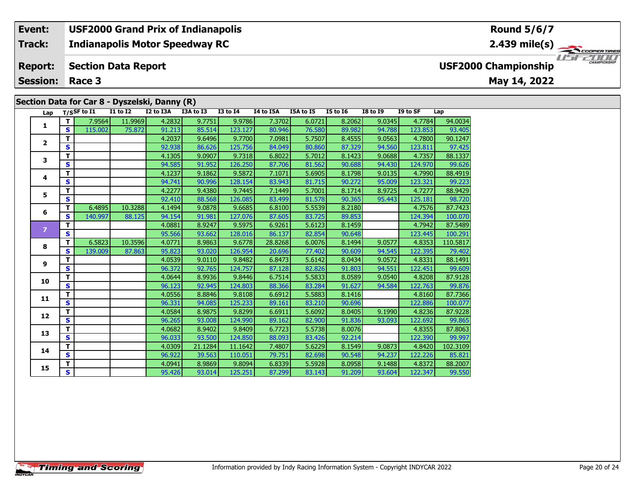**Indianapolis Motor Speedway RC Track:**

#### **Section Data Report Report:**

**Session: Race 3**

# **Section Data for Car 8 - Dyszelski, Danny (R)**

**Round 5/6/7**

**2.439 mile(s)**



**USF2000 Championship**

### **May 14, 2022**

|                |              | Lap T/SSF to I1 | <b>I1 to I2</b> | I2 to I3A | , , ,<br>I3A to I3 | <b>I3 to I4</b> | I4 to I5A | I5A to I5 | I5 to I6 | <b>I8 to I9</b> | I9 to SF | Lap      |
|----------------|--------------|-----------------|-----------------|-----------|--------------------|-----------------|-----------|-----------|----------|-----------------|----------|----------|
|                | ΤI           | 7.9564          | 11.9969         | 4.2832    | 9.7751             | 9.9786          | 7.3702    | 6.0721    | 8.2062   | 9.0345          | 4.7784   | 94.0034  |
| 1              | S.           | 115.002         | 75.872          | 91.213    | 85.514             | 123.127         | 80.946    | 76.580    | 89.982   | 94.788          | 123.853  | 93.405   |
| $\mathbf{2}$   | т            |                 |                 | 4.2037    | 9.6496             | 9.7700          | 7.0981    | 5.7507    | 8.4555   | 9.0563          | 4.7800   | 90.1247  |
|                | $\mathbf{s}$ |                 |                 | 92.938    | 86.626             | 125.756         | 84.049    | 80.860    | 87.329   | 94.560          | 123.811  | 97.425   |
| 3              | т            |                 |                 | 4.1305    | 9.0907             | 9.7318          | 6.8022    | 5.7012    | 8.1423   | 9.0688          | 4.7357   | 88.1337  |
|                | S            |                 |                 | 94.585    | 91.952             | 126.250         | 87.706    | 81.562    | 90.688   | 94.430          | 124.970  | 99.626   |
| 4              | т            |                 |                 | 4.1237    | 9.1862             | 9.5872          | 7.1071    | 5.6905    | 8.1798   | 9.0135          | 4.7990   | 88.4919  |
|                | S            |                 |                 | 94.741    | 90.996             | 128.154         | 83.943    | 81.715    | 90.272   | 95.009          | 123.321  | 99.223   |
| 5.             | т            |                 |                 | 4.2277    | 9.4380             | 9.7445          | 7.1449    | 5.7001    | 8.1714   | 8.9725          | 4.7277   | 88.9429  |
|                | S            |                 |                 | 92.410    | 88.568             | 126.085         | 83.499    | 81.578    | 90.365   | 95.443          | 125.181  | 98.720   |
| 6              | т            | 6.4895          | 10.3288         | 4.1494    | 9.0878             | 9.6685          | 6.8100    | 5.5539    | 8.2180   |                 | 4.7576   | 87.7423  |
|                | S            | 140.997         | 88.125          | 94.154    | 91.981             | 127.076         | 87.605    | 83.725    | 89.853   |                 | 124.394  | 100.070  |
| $\overline{z}$ | т            |                 |                 | 4.0881    | 8.9247             | 9.5975          | 6.9261    | 5.6123    | 8.1459   |                 | 4.7942   | 87.5489  |
|                | <b>S</b>     |                 |                 | 95.566    | 93.662             | 128.016         | 86.137    | 82.854    | 90.648   |                 | 123.445  | 100.291  |
| 8              | T.           | 6.5823          | 10.3596         | 4.0771    | 8.9863             | 9.6778          | 28.8268   | 6.0076    | 8.1494   | 9.0577          | 4.8353   | 110.5817 |
|                | S            | 139.009         | 87.863          | 95.823    | 93.020             | 126.954         | 20.696    | 77.402    | 90.609   | 94.545          | 122.395  | 79.402   |
| 9              | т            |                 |                 | 4.0539    | 9.0110             | 9.8482          | 6.8473    | 5.6142    | 8.0434   | 9.0572          | 4.8331   | 88.1491  |
|                | S            |                 |                 | 96.372    | 92.765             | 124.757         | 87.128    | 82.826    | 91.803   | 94.551          | 122.451  | 99.609   |
| 10             | T.           |                 |                 | 4.0644    | 8.9936             | 9.8446          | 6.7514    | 5.5833    | 8.0589   | 9.0540          | 4.8208   | 87.9128  |
|                | S            |                 |                 | 96.123    | 92.945             | 124.803         | 88.366    | 83.284    | 91.627   | 94.584          | 122.763  | 99.876   |
| 11             | т            |                 |                 | 4.0556    | 8.8846             | 9.8108          | 6.6912    | 5.5883    | 8.1416   |                 | 4.8160   | 87.7366  |
|                | S            |                 |                 | 96.331    | 94.085             | 125.233         | 89.161    | 83.210    | 90.696   |                 | 122.886  | 100.077  |
| 12             | T.           |                 |                 | 4.0584    | 8.9875             | 9.8299          | 6.6911    | 5.6092    | 8.0405   | 9.1990          | 4.8236   | 87.9228  |
|                | S            |                 |                 | 96.265    | 93.008             | 124.990         | 89.162    | 82.900    | 91.836   | 93.093          | 122.692  | 99.865   |
| 13             | т            |                 |                 | 4.0682    | 8.9402             | 9.8409          | 6.7723    | 5.5738    | 8.0076   |                 | 4.8355   | 87.8063  |
|                | S.           |                 |                 | 96.033    | 93.500             | 124.850         | 88.093    | 83.426    | 92.214   |                 | 122.390  | 99.997   |
| 14             | т            |                 |                 | 4.0309    | 21.1284            | 11.1642         | 7.4807    | 5.6229    | 8.1549   | 9.0873          | 4.8420   | 102.3109 |
|                | S            |                 |                 | 96.922    | 39.563             | 110.051         | 79.751    | 82.698    | 90.548   | 94.237          | 122.226  | 85.821   |
| 15             | T.           |                 |                 | 4.0941    | 8.9869             | 9.8094          | 6.8339    | 5.5928    | 8.0958   | 9.1488          | 4.8372   | 88.2007  |
|                | S.           |                 |                 | 95.426    | 93.014             | 125.251         | 87.299    | 83.143    | 91.209   | 93.604          | 122.347  | 99.550   |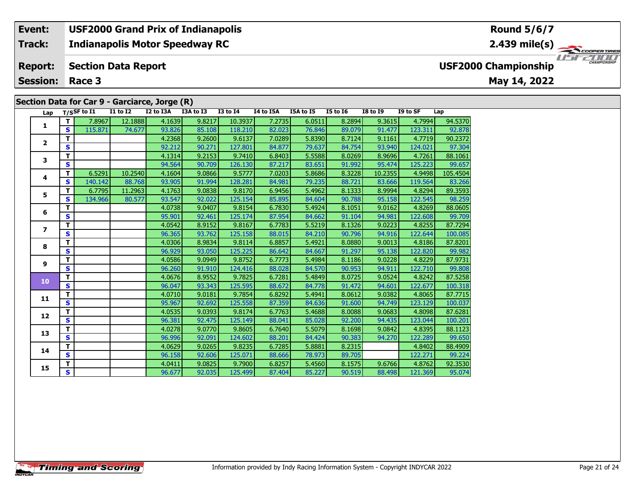**Indianapolis Motor Speedway RC Track:**

#### **Section Data Report Report:**

**Session: Race 3**

### **Section Data for Car 9 - Garciarce, Jorge (R)**

**2.439 mile(s)**

# **USF2000 Championship**

**May 14, 2022**

| Lap                      |                         | T/SSF to I1 | <b>I1 to I2</b> | I2 to I3A | I3A to I3 | <b>I3 to I4</b> | I4 to I5A | I5A to I5 | <b>I5 to 16</b> | <b>I8 to I9</b> | I9 to SF | Lap      |
|--------------------------|-------------------------|-------------|-----------------|-----------|-----------|-----------------|-----------|-----------|-----------------|-----------------|----------|----------|
|                          | T.                      | 7.8967      | 12.1888         | 4.1639    | 9.8217    | 10.3937         | 7.2735    | 6.0511    | 8.2894          | 9.3615          | 4.7994   | 94.5370  |
| 1                        | S                       | 115.871     | 74.677          | 93.826    | 85.108    | 118.210         | 82.023    | 76.846    | 89.079          | 91.477          | 123.311  | 92.878   |
|                          | T.                      |             |                 | 4.2368    | 9.2600    | 9.6137          | 7.0289    | 5.8390    | 8.7124          | 9.1161          | 4.7719   | 90.2372  |
| $\overline{2}$           | S                       |             |                 | 92.212    | 90.271    | 127.801         | 84.877    | 79.637    | 84.754          | 93.940          | 124.021  | 97.304   |
| 3                        | т                       |             |                 | 4.1314    | 9.2153    | 9.7410          | 6.8403    | 5.5588    | 8.0269          | 8.9696          | 4.7261   | 88.1061  |
|                          | S                       |             |                 | 94.564    | 90.709    | 126.130         | 87.217    | 83.651    | 91.992          | 95.474          | 125.223  | 99.657   |
|                          | T.                      | 6.5291      | 10.2540         | 4.1604    | 9.0866    | 9.5777          | 7.0203    | 5.8686    | 8.3228          | 10.2355         | 4.9498   | 105.4504 |
| 4                        | S                       | 140.142     | 88.768          | 93.905    | 91.994    | 128.281         | 84.981    | 79.235    | 88.721          | 83.666          | 119.564  | 83.266   |
| 5                        | T.                      | 6.7795      | 11.2963         | 4.1763    | 9.0838    | 9.8170          | 6.9456    | 5.4962    | 8.1333          | 8.9994          | 4.8294   | 89.3593  |
|                          | S                       | 134.966     | 80.577          | 93.547    | 92.022    | 125.154         | 85.895    | 84.604    | 90.788          | 95.158          | 122.545  | 98.259   |
| 6                        | т                       |             |                 | 4.0738    | 9.0407    | 9.8154          | 6.7830    | 5.4924    | 8.1051          | 9.0162          | 4.8269   | 88.0605  |
|                          | S                       |             |                 | 95.901    | 92.461    | 125.174         | 87.954    | 84.662    | 91.104          | 94.981          | 122.608  | 99.709   |
| $\overline{\phantom{a}}$ | T.                      |             |                 | 4.0542    | 8.9152    | 9.8167          | 6.7783    | 5.5219    | 8.1326          | 9.0223          | 4.8255   | 87.7294  |
|                          | S                       |             |                 | 96.365    | 93.762    | 125.158         | 88.015    | 84.210    | 90.796          | 94.916          | 122.644  | 100.085  |
| 8                        | T.                      |             |                 | 4.0306    | 8.9834    | 9.8114          | 6.8857    | 5.4921    | 8.0880          | 9.0013          | 4.8186   | 87.8201  |
|                          | S                       |             |                 | 96.929    | 93.050    | 125.225         | 86.642    | 84.667    | 91.297          | 95.138          | 122.820  | 99.982   |
| 9                        | T.                      |             |                 | 4.0586    | 9.0949    | 9.8752          | 6.7773    | 5.4984    | 8.1186          | 9.0228          | 4.8229   | 87.9731  |
|                          | S                       |             |                 | 96.260    | 91.910    | 124.416         | 88.028    | 84.570    | 90.953          | 94.911          | 122.710  | 99.808   |
| 10                       | т                       |             |                 | 4.0676    | 8.9552    | 9.7825          | 6.7281    | 5.4849    | 8.0725          | 9.0524          | 4.8242   | 87.5258  |
|                          | S                       |             |                 | 96.047    | 93.343    | 125.595         | 88.672    | 84.778    | 91.472          | 94.601          | 122.677  | 100.318  |
| 11                       | T.                      |             |                 | 4.0710    | 9.0181    | 9.7854          | 6.8292    | 5.4941    | 8.0612          | 9.0382          | 4.8065   | 87.7715  |
|                          | S                       |             |                 | 95.967    | 92.692    | 125.558         | 87.359    | 84.636    | 91.600          | 94.749          | 123.129  | 100.037  |
| 12                       | т                       |             |                 | 4.0535    | 9.0393    | 9.8174          | 6.7763    | 5.4688    | 8.0088          | 9.0683          | 4.8098   | 87.6281  |
|                          | Ś                       |             |                 | 96.381    | 92.475    | 125.149         | 88.041    | 85.028    | 92.200          | 94.435          | 123.044  | 100.201  |
| 13                       | T                       |             |                 | 4.0278    | 9.0770    | 9.8605          | 6.7640    | 5.5079    | 8.1698          | 9.0842          | 4.8395   | 88.1123  |
|                          | S.                      |             |                 | 96.996    | 92.091    | 124.602         | 88.201    | 84.424    | 90.383          | 94.270          | 122.289  | 99.650   |
| 14                       | т                       |             |                 | 4.0629    | 9.0265    | 9.8235          | 6.7285    | 5.8881    | 8.2315          |                 | 4.8402   | 88.4909  |
|                          | $\overline{\mathbf{s}}$ |             |                 | 96.158    | 92.606    | 125.071         | 88.666    | 78.973    | 89.705          |                 | 122.271  | 99.224   |
| 15                       | T.                      |             |                 | 4.0411    | 9.0825    | 9.7900          | 6.8257    | 5.4560    | 8.1575          | 9.6766          | 4.8762   | 92.3530  |
|                          | $\overline{\mathbf{s}}$ |             |                 | 96.677    | 92.035    | 125.499         | 87.404    | 85.227    | 90.519          | 88.498          | 121.369  | 95.074   |

### **Round 5/6/7**

COOPER TIRES USFZOOD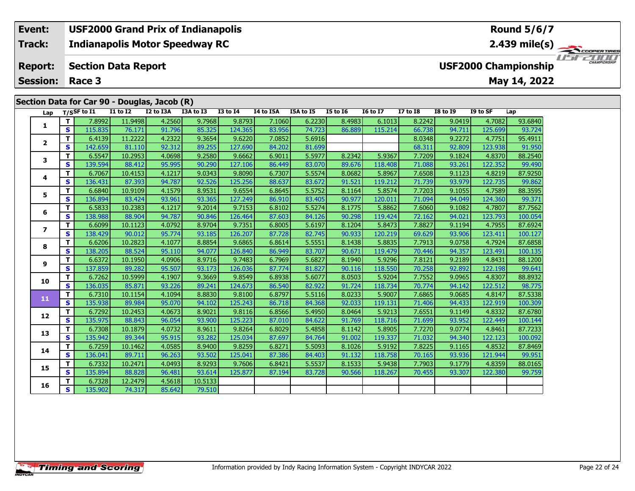**2.439 mile(s)**

**May 14, 2022**

### COOPERTIRES USFZUUD

**USF2000 Championship**

**Session: Race 3**

**Event:**

**Track:**

**Report:**

### **Section Data for Car 90 - Douglas, Jacob (R)**

**Section Data Report**

**Indianapolis Motor Speedway RC**

**USF2000 Grand Prix of Indianapolis**

| Lap                     |              | $T/S$ SF to $I1$ | <b>I1 to I2</b> | I2 to I3A | $\cdot$ $\cdot$<br>I3A to I3 | <b>I3 to I4</b> | I4 to I5A | I5A to I5 | <b>I5 to 16</b> | <b>16 to 17</b> | <b>I7 to I8</b> | <b>I8 to 19</b> | I9 to SF | Lap     |
|-------------------------|--------------|------------------|-----------------|-----------|------------------------------|-----------------|-----------|-----------|-----------------|-----------------|-----------------|-----------------|----------|---------|
|                         | T.           | 7.8992           | 11.9498         | 4.2560    | 9.7968                       | 9.8793          | 7.1060    | 6.2230    | 8.4983          | 6.1013          | 8.2242          | 9.0419          | 4.7082   | 93.6840 |
| 1                       | S            | 115.835          | 76.171          | 91.796    | 85.325                       | 124.365         | 83.956    | 74.723    | 86.889          | 115.214         | 66.738          | 94.711          | 125.699  | 93.724  |
|                         | T.           | 6.4139           | 11.2222         | 4.2322    | 9.3654                       | 9.6220          | 7.0852    | 5.6916    |                 |                 | 8.0348          | 9.2272          | 4.7751   | 95.4911 |
| $\overline{2}$          | S            | 142.659          | 81.110          | 92.312    | 89.255                       | 127.690         | 84.202    | 81.699    |                 |                 | 68.311          | 92.809          | 123.938  | 91.950  |
| 3                       | T.           | 6.5547           | 10.2953         | 4.0698    | 9.2580                       | 9.6662          | 6.9011    | 5.5977    | 8.2342          | 5.9367          | 7.7209          | 9.1824          | 4.8370   | 88.2540 |
|                         | S            | 139.594          | 88.412          | 95.995    | 90.290                       | 127.106         | 86.449    | 83.070    | 89.676          | 118.408         | 71.088          | 93.261          | 122.352  | 99.490  |
| 4                       | T            | 6.7067           | 10.4153         | 4.1217    | 9.0343                       | 9.8090          | 6.7307    | 5.5574    | 8.0682          | 5.8967          | 7.6508          | 9.1123          | 4.8219   | 87.9250 |
|                         | S            | 136.431          | 87.393          | 94.787    | 92.526                       | 125.256         | 88.637    | 83.672    | 91.521          | 119.212         | 71.739          | 93.979          | 122.735  | 99.862  |
| 5                       | T.           | 6.6840           | 10.9109         | 4.1579    | 8.9531                       | 9.6554          | 6.8645    | 5.5752    | 8.1164          | 5.8574          | 7.7203          | 9.1055          | 4.7589   | 88.3595 |
|                         | S            | 136.894          | 83.424          | 93.961    | 93.365                       | 127.249         | 86.910    | 83.405    | 90.977          | 120.011         | 71.094          | 94.049          | 124.360  | 99.371  |
| 6                       | т            | 6.5833           | 10.2383         | 4.1217    | 9.2014                       | 9.7153          | 6.8102    | 5.5274    | 8.1775          | 5.8862          | 7.6060          | 9.1082          | 4.7807   | 87.7562 |
|                         | S            | 138.988          | 88.904          | 94.787    | 90.846                       | 126.464         | 87.603    | 84.126    | 90.298          | 119.424         | 72.162          | 94.021          | 123.793  | 100.054 |
| $\overline{\mathbf{z}}$ | T.           | 6.6099           | 10.1123         | 4.0792    | 8.9704                       | 9.7351          | 6.8005    | 5.6197    | 8.1204          | 5.8473          | 7.8827          | 9.1194          | 4.7955   | 87.6924 |
|                         | S            | 138.429          | 90.012          | 95.774    | 93.185                       | 126.207         | 87.728    | 82.745    | 90.933          | 120.219         | 69.629          | 93.906          | 123.411  | 100.127 |
| 8                       | T            | 6.6206           | 10.2823         | 4.1077    | 8.8854                       | 9.6865          | 6.8614    | 5.5551    | 8.1438          | 5.8835          | 7.7913          | 9.0758          | 4.7924   | 87.6858 |
|                         | S            | 138.205          | 88.524          | 95.110    | 94.077                       | 126.840         | 86.949    | 83.707    | 90.671          | 119.479         | 70.446          | 94.357          | 123.491  | 100.135 |
| 9                       | T.           | 6.6372           | 10.1950         | 4.0906    | 8.9716                       | 9.7483          | 6.7969    | 5.6827    | 8.1940          | 5.9296          | 7.8121          | 9.2189          | 4.8431   | 88.1200 |
|                         | S            | 137.859          | 89.282          | 95.507    | 93.173                       | 126.036         | 87.774    | 81.827    | 90.116          | 118.550         | 70.258          | 92.892          | 122.198  | 99.641  |
| 10                      | T.           | 6.7262           | 10.5999         | 4.1907    | 9.3669                       | 9.8549          | 6.8938    | 5.6077    | 8.0503          | 5.9204          | 7.7552          | 9.0965          | 4.8307   | 88.8932 |
|                         | $\mathbf{s}$ | 136.035          | 85.871          | 93.226    | 89.241                       | 124.673         | 86.540    | 82.922    | 91.724          | 118.734         | 70.774          | 94.142          | 122.512  | 98.775  |
| 11                      | T.           | 6.7310           | 10.1154         | 4.1094    | 8.8830                       | 9.8100          | 6.8797    | 5.5116    | 8.0233          | 5.9007          | 7.6865          | 9.0685          | 4.8147   | 87.5338 |
|                         | S            | 135.938          | 89.984          | 95.070    | 94.102                       | 125.243         | 86.718    | 84.368    | 92.033          | 119.131         | 71.406          | 94.433          | 122.919  | 100.309 |
| 12                      | T.           | 6.7292           | 10.2453         | 4.0673    | 8.9021                       | 9.8116          | 6.8566    | 5.4950    | 8.0464          | 5.9213          | 7.6551          | 9.1149          | 4.8332   | 87.6780 |
|                         | $\mathbf{s}$ | 135.975          | 88.843          | 96.054    | 93.900                       | 125.223         | 87.010    | 84.622    | 91.769          | 118.716         | 71.699          | 93.952          | 122.449  | 100.144 |
| 13                      | T.           | 6.7308           | 10.1879         | 4.0732    | 8.9611                       | 9.8264          | 6.8029    | 5.4858    | 8.1142          | 5.8905          | 7.7270          | 9.0774          | 4.8461   | 87.7233 |
|                         | $\mathbf{s}$ | 135.942          | 89.344          | 95.915    | 93.282                       | 125.034         | 87.697    | 84.764    | 91.002          | 119.337         | 71.032          | 94.340          | 122.123  | 100.092 |
| 14                      | T.           | 6.7259           | 10.1462         | 4.0585    | 8.9400                       | 9.8259          | 6.8271    | 5.5093    | 8.1026          | 5.9192          | 7.8225          | 9.1165          | 4.8532   | 87.8469 |
|                         | $\mathbf{s}$ | 136.041          | 89.711          | 96.263    | 93.502                       | 125.041         | 87.386    | 84.403    | 91.132          | 118.758         | 70.165          | 93.936          | 121.944  | 99.951  |
| 15                      | T            | 6.7332           | 10.2471         | 4.0493    | 8.9293                       | 9.7606          | 6.8421    | 5.5537    | 8.1533          | 5.9438          | 7.7903          | 9.1779          | 4.8359   | 88.0165 |
|                         | S            | 135.894          | 88.828          | 96.481    | 93.614                       | 125.877         | 87.194    | 83.728    | 90.566          | 118.267         | 70.455          | 93.307          | 122.380  | 99.759  |
| 16                      | T.           | 6.7328           | 12.2479         | 4.5618    | 10.5133                      |                 |           |           |                 |                 |                 |                 |          |         |
|                         | S            | 135.902          | 74.317          | 85.642    | 79.510                       |                 |           |           |                 |                 |                 |                 |          |         |

**Timing and Scoring**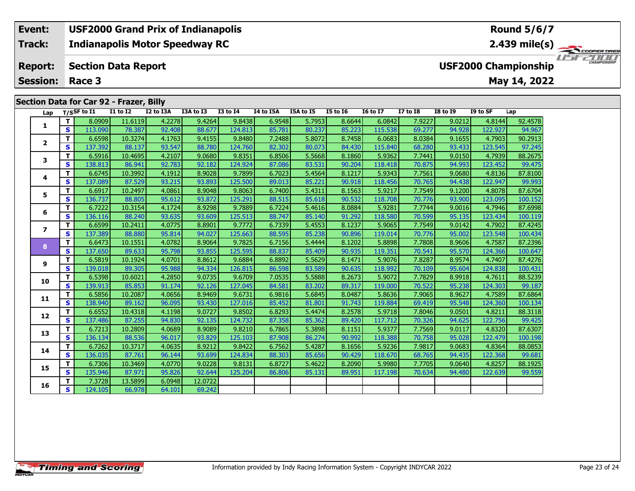### **Section Data for Car 92 - Frazer, Billy**

| Lap                      |              | $T/S$ SF to I1 | <b>I1 to I2</b> | I2 to I3A | I3A to I3 | <b>I3 to I4</b> | I4 to I5A | <b>I5A to I5</b> | <b>I5 to 16</b> | <b>16 to 17</b> | <b>I7 to I8</b> | <b>I8 to 19</b> | I9 to SF | Lap     |
|--------------------------|--------------|----------------|-----------------|-----------|-----------|-----------------|-----------|------------------|-----------------|-----------------|-----------------|-----------------|----------|---------|
|                          | $\mathbf{T}$ | 8.0909         | 11.6119         | 4.2278    | 9.4264    | 9.8438          | 6.9548    | 5.7953           | 8.6644          | 6.0842          | 7.9227          | 9.0212          | 4.8144   | 92.4578 |
| 1                        | S            | 113.090        | 78.387          | 92.408    | 88.677    | 124.813         | 85.781    | 80.237           | 85.223          | 115.538         | 69.277          | 94.928          | 122.927  | 94.967  |
|                          | т            | 6.6598         | 10.3274         | 4.1763    | 9.4155    | 9.8480          | 7.2488    | 5.8072           | 8.7458          | 6.0683          | 8.0384          | 9.1655          | 4.7903   | 90.2913 |
| $\overline{2}$           | S            | 137.392        | 88.137          | 93.547    | 88.780    | 124.760         | 82.302    | 80.073           | 84.430          | 115.840         | 68.280          | 93.433          | 123.545  | 97.245  |
| 3                        | т            | 6.5916         | 10.4695         | 4.2107    | 9.0680    | 9.8351          | 6.8506    | 5.5668           | 8.1860          | 5.9362          | 7.7441          | 9.0150          | 4.7939   | 88.2675 |
|                          | S            | 138.813        | 86.941          | 92.783    | 92.182    | 124.924         | 87.086    | 83.531           | 90.204          | 118.418         | 70.875          | 94.993          | 123.452  | 99.475  |
| 4                        | T.           | 6.6745         | 10.3992         | 4.1912    | 8.9028    | 9.7899          | 6.7023    | 5.4564           | 8.1217          | 5.9343          | 7.7561          | 9.0680          | 4.8136   | 87.8100 |
|                          | S            | 137.089        | 87.529          | 93.215    | 93.893    | 125.500         | 89.013    | 85.221           | 90.918          | 118.456         | 70.765          | 94.438          | 122.947  | 99.993  |
| 5                        | T.           | 6.6917         | 10.2497         | 4.0861    | 8.9048    | 9.8063          | 6.7400    | 5.4311           | 8.1563          | 5.9217          | 7.7549          | 9.1200          | 4.8078   | 87.6704 |
|                          | S            | 136.737        | 88.805          | 95.612    | 93.872    | 125.291         | 88.515    | 85.618           | 90.532          | 118.708         | 70.776          | 93.900          | 123.095  | 100.152 |
| 6                        | T.           | 6.7222         | 10.3154         | 4.1724    | 8.9298    | 9.7889          | 6.7224    | 5.4616           | 8.0884          | 5.9281          | 7.7744          | 9.0016          | 4.7946   | 87.6998 |
|                          | $\mathbf{s}$ | 136.116        | 88.240          | 93.635    | 93.609    | 125.513         | 88.747    | 85.140           | 91.292          | 118.580         | 70.599          | 95.135          | 123.434  | 100.119 |
| $\overline{\phantom{a}}$ | т            | 6.6599         | 10.2411         | 4.0775    | 8.8901    | 9.7772          | 6.7339    | 5.4553           | 8.1237          | 5.9065          | 7.7549          | 9.0142          | 4.7902   | 87.4245 |
|                          | $\mathbf{s}$ | 137.389        | 88,880          | 95.814    | 94.027    | 125.663         | 88.595    | 85.238           | 90.896          | 119.014         | 70.776          | 95.002          | 123.548  | 100.434 |
| 8                        | T.           | 6.6473         | 10.1551         | 4.0782    | 8.9064    | 9.7825          | 6.7156    | 5.4444           | 8.1202          | 5.8898          | 7.7808          | 8.9606          | 4.7587   | 87.2396 |
|                          | <b>S</b>     | 137.650        | 89.633          | 95.798    | 93.855    | 125.595         | 88.837    | 85.409           | 90.935          | 119.351         | 70.541          | 95.570          | 124.366  | 100.647 |
| 9                        | т            | 6.5819         | 10.1924         | 4.0701    | 8.8612    | 9.6884          | 6.8892    | 5.5629           | 8.1471          | 5.9076          | 7.8287          | 8.9574          | 4.7407   | 87.4276 |
|                          | S            | 139.018        | 89.305          | 95.988    | 94.334    | 126.815         | 86.598    | 83.589           | 90.635          | 118.992         | 70.109          | 95.604          | 124.838  | 100.431 |
| 10                       | т            | 6.5398         | 10.6021         | 4.2850    | 9.0735    | 9.6709          | 7.0535    | 5.5888           | 8.2673          | 5.9072          | 7.7829          | 8.9918          | 4.7611   | 88.5239 |
|                          | $\mathbf{s}$ | 139.913        | 85.853          | 91.174    | 92.126    | 127.045         | 84.581    | 83.202           | 89.317          | 119.000         | 70.522          | 95.238          | 124.303  | 99.187  |
| 11                       | т            | 6.5856         | 10.2087         | 4.0656    | 8.9469    | 9.6731          | 6.9816    | 5.6845           | 8.0487          | 5.8636          | 7.9065          | 8.9627          | 4.7589   | 87.6864 |
|                          | $\mathbf{s}$ | 138.940        | 89.162          | 96.095    | 93.430    | 127.016         | 85.452    | 81.801           | 91.743          | 119.884         | 69.419          | 95.548          | 124.360  | 100.134 |
| 12                       | T.           | 6.6552         | 10.4318         | 4.1198    | 9.0727    | 9.8502          | 6.8293    | 5.4474           | 8.2578          | 5.9718          | 7.8046          | 9.0501          | 4.8211   | 88.3118 |
|                          | S.           | 137.486        | 87.255          | 94.830    | 92.135    | 124.732         | 87.358    | 85.362           | 89.420          | 117.712         | 70.326          | 94.625          | 122.756  | 99.425  |
| 13                       | T.           | 6.7213         | 10.2809         | 4.0689    | 8.9089    | 9.8210          | 6.7865    | 5.3898           | 8.1151          | 5.9377          | 7.7569          | 9.0117          | 4.8320   | 87.6307 |
|                          | S            | 136.134        | 88.536          | 96.017    | 93.829    | 125.103         | 87.908    | 86.274           | 90.992          | 118.388         | 70.758          | 95.028          | 122.479  | 100.198 |
| 14                       | T.           | 6.7262         | 10.3717         | 4.0635    | 8.9212    | 9.8422          | 6.7562    | 5.4287           | 8.1656          | 5.9236          | 7.9817          | 9.0683          | 4.8364   | 88.0853 |
|                          | S.           | 136.035        | 87.761          | 96.144    | 93.699    | 124.834         | 88.303    | 85.656           | 90.429          | 118,670         | 68.765          | 94.435          | 122.368  | 99.681  |
| 15                       | T.           | 6.7306         | 10.3469         | 4.0770    | 9.0228    | 9.8131          | 6.8727    | 5.4622           | 8.2090          | 5.9980          | 7.7705          | 9.0640          | 4.8257   | 88.1925 |
|                          | S            | 135.946        | 87.971          | 95.826    | 92.644    | 125.204         | 86.806    | 85.131           | 89.951          | 117.198         | 70.634          | 94.480          | 122.639  | 99.559  |
| 16                       | T.           | 7.3728         | 13.5899         | 6.0948    | 12.0722   |                 |           |                  |                 |                 |                 |                 |          |         |
|                          | S            | 124.105        | 66.978          | 64.101    | 69.242    |                 |           |                  |                 |                 |                 |                 |          |         |